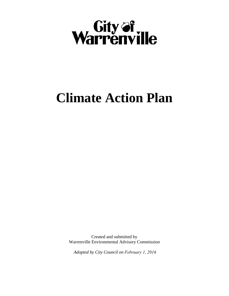

# **Climate Action Plan**

Created and submitted by Warrenville Environmental Advisory Commission

*Adopted by City Council on February 1, 2016*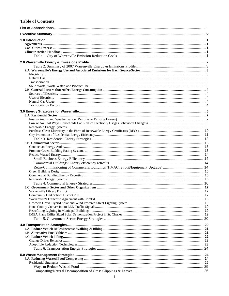#### **Table of Contents**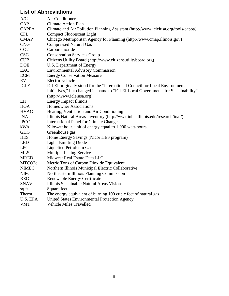# **List of Abbreviations**

| A/C             | Air Conditioner                                                                    |
|-----------------|------------------------------------------------------------------------------------|
| CAP             | <b>Climate Action Plan</b>                                                         |
| <b>CAPPA</b>    | Climate and Air Pollution Planning Assistant (http://www.icleiusa.org/tools/cappa) |
| <b>CFL</b>      | <b>Compact Fluorescent Light</b>                                                   |
| <b>CMAP</b>     | Chicago Metropolitan Agency for Planning (http://www.cmap.illinois.gov)            |
| <b>CNG</b>      | <b>Compressed Natural Gas</b>                                                      |
| CO <sub>2</sub> | Carbon dioxide                                                                     |
| <b>CSG</b>      | <b>Conservation Services Group</b>                                                 |
| <b>CUB</b>      | Citizens Utility Board (http://www.citizensutilityboard.org)                       |
| <b>DOE</b>      | U.S. Department of Energy                                                          |
| EAC             | <b>Environmental Advisory Commission</b>                                           |
| <b>ECM</b>      | <b>Energy Conservation Measure</b>                                                 |
| EV              | Electric vehicle                                                                   |
| <b>ICLEI</b>    | ICLEI originally stood for the "International Council for Local Environmental      |
|                 | Initiatives," but changed its name to "ICLEI-Local Governments for Sustainability" |
|                 | (http://www.icleiusa.org)                                                          |
| EII             | <b>Energy Impact Illinois</b>                                                      |
| <b>HOA</b>      | <b>Homeowner Associations</b>                                                      |
| <b>HVAC</b>     | Heating, Ventilation and Air Conditioning                                          |
| <b>INAI</b>     | Illinois Natural Areas Inventory (http://wwx.inhs.illinois.edu/research/inai/)     |
| <b>IPCC</b>     | <b>International Panel for Climate Change</b>                                      |
| kWh             | Kilowatt hour, unit of energy equal to 1,000 watt-hours                            |
| <b>GHG</b>      | Greenhouse gas                                                                     |
| <b>HES</b>      | Home Energy Savings (Nicor HES program)                                            |
| <b>LED</b>      | Light-Emitting Diode                                                               |
| <b>LPG</b>      | <b>Liquefied Petroleum Gas</b>                                                     |
| <b>MLS</b>      | Multiple Listing Service                                                           |
| <b>MRED</b>     | Midwest Real Estate Data LLC                                                       |
| MTCO2e          | Metric Tons of Carbon Dioxide Equivalent                                           |
| <b>NIMEC</b>    | Northern Illinois Municipal Electric Collaborative                                 |
| <b>NIPC</b>     | Northeastern Illinois Planning Commission                                          |
| <b>REC</b>      | Renewable Energy Certificate                                                       |
| <b>SNAV</b>     | Illinois Sustainable Natural Areas Vision                                          |
| sq ft           | Square feet                                                                        |
| Therm           | The energy equivalent of burning 100 cubic feet of natural gas                     |
| U.S. EPA        | United States Environmental Protection Agency                                      |
| <b>VMT</b>      | <b>Vehicle Miles Travelled</b>                                                     |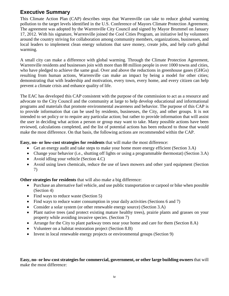# **Executive Summary**

This Climate Action Plan (CAP) describes steps that Warrenville can take to reduce global warming pollution to the target levels identified in the U.S. Conference of Mayors Climate Protection Agreement. The agreement was adopted by the Warrenville City Council and signed by Mayor Brummel on January 17, 2012. With his signature, Warrenville joined the Cool Cities Program, an initiative led by volunteers around the country striving for collaboration among community members, organizations, businesses, and local leaders to implement clean energy solutions that save money, create jobs, and help curb global warming.

A small city can make a difference with global warming. Through the Climate Protection Agreement, Warrenville residents and businesses join with more than 88 million people in over 1000 towns and cities, who have pledged to achieve the same goal. Over and above the reductions in greenhouse gases (GHGs) resulting from human actions, Warrenville can make an impact by being a model for other cities; demonstrating that with leadership and motivation, every town, every home, and every citizen can help prevent a climate crisis and enhance quality of life.

The EAC has developed this CAP consistent with the purpose of the commission to act as a resource and advocate to the City Council and the community at large to help develop educational and informational programs and materials that promote environmental awareness and behavior. The purpose of this CAP is to provide information that can be used by residents, businesses, the City, and other groups. It is not intended to set policy or to require any particular action; but rather to provide information that will assist the user in deciding what action a person or group may want to take. Many possible actions have been reviewed, calculations completed, and the list of potential actions has been reduced to those that would make the most difference. On that basis, the following actions are recommended within the CAP.

**Easy, no- or low-cost strategies for residents** that will make the most difference:

- Get an energy audit and take steps to make your home more energy efficient (Section 3.A)
- Change your behavior (i.e., shutting off lights or using a programmable thermostat) (Section 3.A)
- Avoid idling your vehicle (Section 4.C)
- Avoid using lawn chemicals, reduce the use of lawn mowers and other yard equipment (Section 7)

**Other strategies for residents** that will also make a big difference:

- Purchase an alternative fuel vehicle, and use public transportation or carpool or bike when possible (Section 4)
- Find ways to reduce waste (Section 5)
- Find ways to reduce water consumption in your daily activities (Sections 6 and 7)
- Consider a solar system (or other renewable energy source) (Section 3.A)
- Plant native trees (and protect existing mature healthy trees), prairie plants and grasses on your property while avoiding invasive species. (Section 7)
- Arrange for the City to plant parkway trees near your home and care for them (Section 8.A)
- Volunteer on a habitat restoration project (Section 8.B)
- Invest in local renewable energy projects or environmental groups (Section 9)

**Easy, no- or low-cost strategies for commercial, government, or other large building owners** that will make the most difference: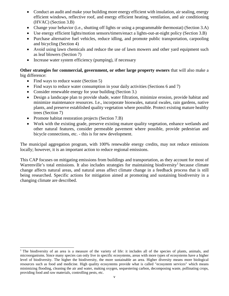- Conduct an audit and make your building more energy efficient with insulation, air sealing, energy efficient windows, reflective roof, and energy efficient heating, ventilation, and air conditioning (HVAC) (Section 3.B)
- Change your behavior (i.e., shutting off lights or using a programmable thermostat) (Section 3.A)
- Use energy efficient lights/motion sensors/timers/enact a lights-out-at-night policy (Section 3.B)
- Purchase alternative fuel vehicles, reduce idling, and promote public transportation, carpooling and bicycling (Section 4)
- Avoid using lawn chemicals and reduce the use of lawn mowers and other yard equipment such as leaf blowers (Section 7)
- Increase water system efficiency (pumping), if necessary

**Other strategies for commercial, government, or other large property owners** that will also make a big difference:

- Find ways to reduce waste (Section 5)
- Find ways to reduce water consumption in your daily activities (Sections 6 and 7)
- Consider renewable energy for your building (Section 3.)
- Design a landscape plan to provide shade, water filtration, minimize erosion, provide habitat and minimize maintenance resources. I.e., incorporate bioswales, natural swales, rain gardens, native plants, and preserve established quality vegetation where possible. Protect existing mature healthy trees (Section 7)
- Promote habitat restoration projects (Section 7.B)
- Work with the existing grade, preserve existing mature quality vegetation, enhance wetlands and other natural features, consider permeable pavement where possible, provide pedestrian and bicycle connections, etc. - this is for new development.

The municipal aggregation program, with 100% renewable energy credits, may not reduce emissions locally; however, it is an important action to reduce regional emissions.

This CAP focuses on mitigating emissions from buildings and transportation, as they account for most of Warrenville's total emissions. It also includes strategies for maintaining biodiversity<sup>[1](#page-5-0)</sup> because climate change affects natural areas, and natural areas affect climate change in a feedback process that is still being researched. Specific actions for mitigation aimed at promoting and sustaining biodiversity in a changing climate are described.

<span id="page-5-0"></span>j <sup>1</sup> The biodiversity of an area is a measure of the variety of life: it includes all of the species of plants, animals, and microorganisms. Since many species can only live in specific ecosystems, areas with more types of ecosystems have a higher level of biodiversity. The higher the biodiversity, the more sustainable an area. Higher diversity means more biological resources such as food and medicine. High quality ecosystems provide what is called "ecosystem services" which means minimizing flooding, cleaning the air and water, making oxygen, sequestering carbon, decomposing waste, pollinating crops, providing food and raw materials, controlling pests, etc.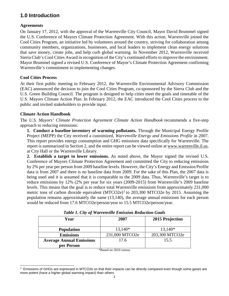# **1.0 Introduction**

#### **Agreements**

On January 17, 2012, with the approval of the Warrenville City Council, Mayor David Brummel signed the U.S. Conference of Mayors Climate Protection Agreement. With this action, Warrenville joined the Cool Cities Program, an initiative led by volunteers around the country, striving for collaboration among community members, organizations, businesses, and local leaders to implement clean energy solutions that save money, create jobs, and help curb global warming. In November 2012, Warrenville received Sierra Club's Cool Cities Award in recognition of the City's continued efforts to improve the environment. Mayor Brummel signed a revised U.S. Conference of Mayor's Climate Protection Agreement confirming Warrenville's commitment to implementing changes.

#### **Cool Cities Process**

At their first public meeting in February 2012, the Warrenville Environmental Advisory Commission (EAC) announced the decision to join the Cool Cities Program, co-sponsored by the Sierra Club and the U.S. Green Building Council. The program is designed to help cities meet the goals and timetable of the U.S. Mayors Climate Action Plan. In February 2012, the EAC introduced the Cool Cities process to the public and invited stakeholders to provide input.

#### **Climate Action Handbook**

The *U.S. Mayors' Climate Protection Agreement Climate Action Handbook* recommends a five-step approach to reducing emissions:

**1. Conduct a baseline inventory of warming pollutants.** Through the Municipal Energy Profile Project (MEPP) the City received a customized, *Warrenville Energy and Emissions Profile* in 2007. This report provides energy consumption and GHG emissions data specifically for Warrenville. The report is summarized in Section 2, and the entire report can be viewed online at [www.warrenville.il.us,](http://www.warrenville.il.us/) at City Hall or the Warrenville Library.

**2. Establish a target to lower emissions.** As noted above, the Mayor signed the revised U.S. Conference of Mayors Climate Protection Agreement and committed the City to reducing emissions by 2% per year per person from 2009 baseline levels. However, the City's Energy and Emission Profile data is from 2007 and there is no baseline data from 2009. For the sake of this Plan, the 2007 data is being used and it is assumed that it is comparable to the 2009 data. Thus, Warrenville's target is to reduce emissions by 12% (2% per year for six years (2009-2015) from Warrenville's 2009 baseline levels. This means that the goal is to reduce total Warrenville emissions from approximately 231,000 metric tons of carbon dioxide equivalent (MTCO[2](#page-6-0)e)<sup>2</sup> to 203,300 MTCO2e by 2015. Assuming the population remains approximately the same (13,140), the average annual emissions for each person would be reduced from 17.6 MTCO2e/person/year to 15.5 MTCO2e/person/year.

| Year                            | 2007           | 2015 Projection |  |  |
|---------------------------------|----------------|-----------------|--|--|
| <b>Population</b>               | $13,140*$      | $13,140*$       |  |  |
| <b>Emissions</b>                | 231,000 MTCO2e | 203,300 MTCO2e  |  |  |
| <b>Average Annual Emissions</b> | 17.6           | 15.5            |  |  |
| per Person                      |                |                 |  |  |

|  |  | <b>Table 1. City of Warrenville Emission Reduction Goals</b> |  |
|--|--|--------------------------------------------------------------|--|
|  |  |                                                              |  |

\*Based on 2010 census

<span id="page-6-0"></span> $2$  Emissions of GHGs are expressed in MTCO2e so that their impacts can be directly compared even though some gases are more potent (have a higher global warming impact) than others.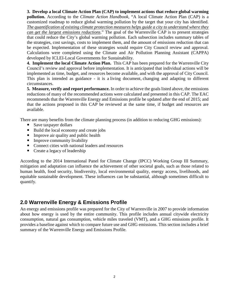**3. Develop a local Climate Action Plan (CAP) to implement actions that reduce global warming pollution.** According to the *Climate Action Handbook*, "A local Climate Action Plan (CAP) is a customized roadmap to reduce global warming pollution by the target that your city has identified. *The quantification of existing climate protection measures helps guide a city to understand where they can get the largest emissions reductions*." The goal of the Warrenville CAP is to present strategies that could reduce the City's global warming pollution. Each subsection includes summary tables of the strategies, cost savings, costs to implement them, and the amount of emissions reduction that can be expected. Implementation of these strategies would require City Council review and approval. Calculations were completed using the Climate and Air Pollution Planning Assistant (CAPPA) developed by ICLEI-Local Governments for Sustainability.

**4. Implement the local Climate Action Plan.** This CAP has been prepared for the Warrenville City Council's review and approval before implementation. It is anticipated that individual actions will be implemented as time, budget, and resources become available, and with the approval of City Council. This plan is intended as guidance - it is a living document, changing and adapting to different circumstances.

**5. Measure, verify and report performance.** In order to achieve the goals listed above, the emissions reductions of many of the recommended actions were calculated and presented in this CAP. The EAC recommends that the Warrenville Energy and Emissions profile be updated after the end of 2015; and that the actions proposed in this CAP be reviewed at the same time, if budget and resources are available.

There are many benefits from the climate planning process (in addition to reducing GHG emissions):

- Save taxpayer dollars
- Build the local economy and create jobs
- Improve air quality and public health
- Improve community livability
- Connect cities with national leaders and resources
- Create a legacy of leadership

According to the 2014 International Panel for Climate Change (IPCC) Working Group III Summary, mitigation and adaptation can influence the achievement of other societal goals, such as those related to human health, food security, biodiversity, local environmental quality, energy access, livelihoods, and equitable sustainable development. These influences can be substantial, although sometimes difficult to quantify.

## **2.0 Warrenville Energy & Emissions Profile**

An energy and emissions profile was prepared for the City of Warrenville in 2007 to provide information about how energy is used by the entire community. This profile includes annual citywide electricity consumption, natural gas consumption, vehicle miles traveled (VMT), and a GHG emissions profile. It provides a baseline against which to compare future use and GHG emissions. This section includes a brief summary of the Warrenville Energy and Emissions Profile.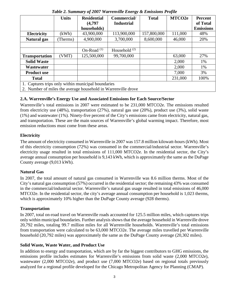|                                                               | <b>Units</b> | <b>Residential</b> | Commercial/       | <b>Total</b> | MTCO <sub>2e</sub> | <b>Percent</b>   |
|---------------------------------------------------------------|--------------|--------------------|-------------------|--------------|--------------------|------------------|
|                                                               |              | (4,797)            | <b>Industrial</b> |              |                    | of Total         |
|                                                               |              | households)        |                   |              |                    | <b>Emissions</b> |
| <b>Electricity</b>                                            | (kWh)        | 43,900,000         | 113,900,000       | 157,800,000  | 111,000            | 48%              |
| Natural gas                                                   | Therms)      | 4,900,000          | 3,700,000         | 8,600,000    | 46,000             | 20%              |
|                                                               |              |                    |                   |              |                    |                  |
|                                                               |              | On-Road $(1)$      | Household $(2)$   |              |                    |                  |
| <b>Transportation</b>                                         | (VMT)        | 125,500,000        | 99,700,000        |              | 63,000             | 27%              |
| <b>Solid Waste</b>                                            |              |                    |                   |              | 2,000              | 1%               |
| Wastewater                                                    |              |                    |                   |              | 2,000              | 1%               |
| <b>Product use</b>                                            |              |                    |                   |              | 7,000              | 3%               |
| <b>Total</b>                                                  |              |                    |                   |              | 231,000            | 100%             |
| 1. Captures trips only within municipal boundaries            |              |                    |                   |              |                    |                  |
| 2. Number of miles the average household in Warrenville drove |              |                    |                   |              |                    |                  |

*Table 2. Summary of 2007 Warrenville Energy & Emissions Profile*

#### **2.A. Warrenville's Energy Use and Associated Emissions for Each Source/Sector**

Warrenville's total emissions in 2007 were estimated to be 231,000 MTCO2e. The emissions resulted from electricity use (48%), transportation (27%), natural gas use (20%), product use (3%), solid waste (1%) and wastewater (1%). Ninety-five percent of the City's emissions came from electricity, natural gas, and transportation. These are the main sources of Warrenville's global warming impact. Therefore, most emission reductions must come from these areas.

#### **Electricity**

The amount of electricity consumed in Warrenville in 2007 was 157.8 million kilowatt-hours (kWh). Most of this electricity consumption (72%) was consumed in the commercial/industrial sector. Warrenville's electricity usage resulted in total emissions of 111,000 MTCO2e. In the residential sector, the City's average annual consumption per household is 9,143 kWh, which is approximately the same as the DuPage County average (9,013 kWh).

#### **Natural Gas**

In 2007, the total amount of natural gas consumed in Warrenville was 8.6 million therms. Most of the City's natural gas consumption (57%) occurred in the residential sector; the remaining 43% was consumed in the commercial/industrial sector. Warrenville's natural gas usage resulted in total emissions of 46,000 MTCO2e. In the residential sector, the city's average annual consumption per household is 1,023 therms, which is approximately 10% higher than the DuPage County average (928 therms).

#### **Transportation**

In 2007, total on-road travel on Warrenville roads accounted for 125.5 million miles, which captures trips only within municipal boundaries. Further analysis shows that the average household in Warrenville drove 20,792 miles, totaling 99.7 million miles for all Warrenville households. Warrenville's total emissions from transportation were calculated to be 63,000 MTCO2e. The average miles travelled per Warrenville household (20,792 miles) was approximately the same as the DuPage County average (20,302 miles).

#### **Solid Waste, Waste Water, and Product Use**

In addition to energy and transportation, which are by far the biggest contributors to GHG emissions, the emissions profile includes estimates for Warrenville's emissions from solid waste (2,000 MTCO2e), wastewater (2,000 MTCO2e), and product use (7,000 MTCO2e) based on regional totals previously analyzed for a regional profile developed for the Chicago Metropolitan Agency for Planning (CMAP).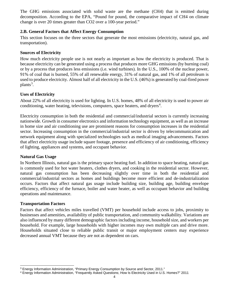The GHG emissions associated with solid waste are the methane (CH4) that is emitted during decomposition. According to the EPA, "Pound for pound, the comparative impact of CH4 on climate change is over 20 times greater than CO2 over a 100-year period."

#### **2.B. General Factors that Affect Energy Consumption**

This section focuses on the three sectors that generate the most emissions (electricity, natural gas, and transportation).

#### **Sources of Electricity**

How much electricity people use is not nearly as important as how the electricity is produced. That is because electricity can be generated using a process that produces more GHG emissions (by burning coal) or by a process that produces less emissions (i.e. wind turbines). In the U.S., 100% of the nuclear power, 91% of coal that is burned, 55% of all renewable energy, 31% of natural gas, and 1% of all petroleum is used to produce electricity. Almost half of all electricity in the U.S. (46%) is generated by coal-fired power plants<sup>[3](#page-9-0)</sup>.

#### **Uses of Electricity**

About 22% of all electricity is used for lighting. In U.S. homes, 48% of all electricity is used to power air conditioning, water heating, televisions, computers, space heaters, and dryers<sup>[4](#page-9-1)</sup>.

Electricity consumption in both the residential and commercial/industrial sectors is currently increasing nationwide. Growth in consumer electronics and information technology equipment, as well as an increase in home size and air conditioning use are prominent reasons for consumption increases in the residential sector. Increasing consumption in the commercial/industrial sector is driven by telecommunication and network equipment along with specialized technologies such as medical imaging advancements. Factors that affect electricity usage include square footage, presence and efficiency of air conditioning, efficiency of lighting, appliances and systems, and occupant behavior.

#### **Natural Gas Usage**

In Northern Illinois, natural gas is the primary space heating fuel. In addition to space heating, natural gas is commonly used for hot water heaters, clothes dryers, and cooking in the residential sector. However, natural gas consumption has been decreasing slightly over time in both the residential and commercial/industrial sectors as homes and buildings become more efficient and de-industrialization occurs. Factors that affect natural gas usage include building size, building age, building envelope efficiency, efficiency of the furnace, boiler and water heater, as well as occupant behavior and building operations and maintenance.

#### **Transportation Factors**

Factors that affect vehicles miles travelled (VMT) per household include access to jobs, proximity to businesses and amenities, availability of public transportation, and community walkability. Variations are also influenced by many different demographic factors including income, household size, and workers per household. For example, large households with higher incomes may own multiple cars and drive more. Households situated close to reliable public transit or major employment centers may experience decreased annual VMT because they are not as dependent on cars.

<span id="page-9-0"></span> <sup>3</sup> Energy Information Administration, "Primary Energy Consumption by Source and Sector, 2011."

<span id="page-9-1"></span><sup>4</sup> Energy Information Administration, "Frequently Asked Questions; How Is Electricity Used in U.S. Homes?" 2011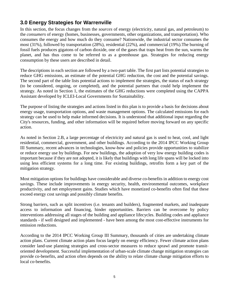## **3.0 Energy Strategies for Warrenville**

In this section, the focus changes from the *sources* of energy (electricity, natural gas, and petroleum) to the *consumers* of energy (homes, businesses, governments, other organizations, and transportation). Who consumes the energy and how much do they consume? Nationwide, the industrial sector consumes the most (31%), followed by transportation (28%), residential (22%), and commercial (19%).The burning of fossil fuels produces gigatons of carbon dioxide, one of the gases that traps heat from the sun, warms the planet, and has thus come to be referred to as a greenhouse gas. Strategies for reducing energy consumption by these users are described in detail.

The descriptions in each section are followed by a two-part table. The first part lists potential strategies to reduce GHG emissions, an estimate of the potential GHG reduction, the cost and the potential savings. The second part of the table lists potential actions to implement the strategies, the status of each strategy (to be considered, ongoing, or completed), and the potential partners that could help implement the strategy. As noted in Section 1, the estimates of the GHG reductions were completed using the CAPPA Assistant developed by ICLEI-Local Governments for Sustainability.

The purpose of listing the strategies and actions listed in this plan is to provide a basis for decisions about energy usage, transportation options, and waste management options. The calculated emissions for each strategy can be used to help make informed decisions. It is understood that additional input regarding the City's resources, funding, and other information will be required before moving forward on any specific action.

As noted in Section 2.B, a large percentage of electricity and natural gas is used to heat, cool, and light residential, commercial, government, and other buildings. According to the 2014 IPCC Working Group III Summary, recent advances in technologies, know-how and policies provide opportunities to stabilize or reduce energy use by buildings. For new buildings, the adoption of very low energy building codes is important because if they are not adopted, it is likely that buildings with long life spans will be locked into using less efficient systems for a long time. For existing buildings, retrofits form a key part of the mitigation strategy.

Most mitigation options for buildings have considerable and diverse co-benefits in addition to energy cost savings. These include improvements in energy security, health, environmental outcomes, workplace productivity, and net employment gains. Studies which have monetized co-benefits often find that these exceed energy cost savings and possibly climate benefits.

Strong barriers, such as split incentives (i.e. tenants and builders), fragmented markets, and inadequate access to information and financing, hinder opportunities. Barriers can be overcome by policy interventions addressing all stages of the building and appliance lifecycles. Building codes and appliance standards - if well designed and implemented - have been among the most cost-effective instruments for emission reductions.

According to the 2014 IPCC Working Group III Summary, thousands of cities are undertaking climate action plans. Current climate action plans focus largely on energy efficiency. Fewer climate action plans consider land-use planning strategies and cross-sector measures to reduce sprawl and promote transit oriented development. Successful implementation of urban‐scale climate change mitigation strategies can provide co‐benefits, and action often depends on the ability to relate climate change mitigation efforts to local co-benefits.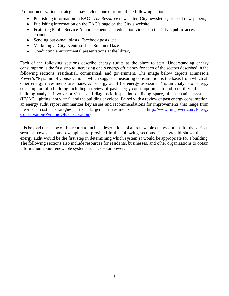Promotion of various strategies may include one or more of the following actions:

- Publishing information in EAC's *The Resource* newsletter, City newsletter, or local newspapers,
- Publishing information on the EAC's page on the City's website
- Featuring Public Service Announcements and education videos on the City's public access channel
- Sending out e-mail blasts, Facebook posts, etc.
- Marketing at City events such as Summer Daze
- Conducting environmental presentations at the library

Each of the following sections describe energy audits as the place to start. Understanding energy consumption is the first step to increasing one's energy efficiency for each of the sectors described in the following sections: residential, commercial, and government. The image below depicts Minnesota Power's "Pyramid of Conservation," which suggests measuring consumption is the basis from which all other energy investments are made. An energy audit (or energy assessment) is an analysis of energy consumption of a building including a review of past energy consumption as found on utility bills. The building analysis involves a visual and diagnostic inspection of living space, all mechanical systems (HVAC, lighting, hot water), and the building envelope. Paired with a review of past energy consumption, an energy audit report summarizes key issues and recommendations for improvements that range from low/no cost strategies to larger investments. [\(http://www.mnpower.com/Energy](http://www.mnpower.com/Energy%0bConservation/PyramidOfConservation) [Conservation/PyramidOfConservation\)](http://www.mnpower.com/Energy%0bConservation/PyramidOfConservation)

It is beyond the scope of this report to include descriptions of all renewable energy options for the various sectors; however, some examples are provided in the following sections. The pyramid shows that an energy audit would be the first step in determining which system(s) would be appropriate for a building. The following sections also include resources for residents, businesses, and other organizations to obtain information about renewable systems such as solar power.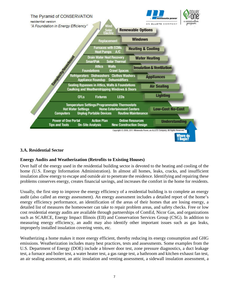

#### **3.A. Residential Sector**

#### **Energy Audits and Weatherization (Retrofits to Existing Houses)**

Over half of the energy used in the residential building sector is devoted to the heating and cooling of the home (U.S. Energy Information Administration). In almost all homes, leaks, cracks, and insufficient insulation allow energy to escape and outside air to penetrate the residence. Identifying and repairing these problems conserves energy, creates financial savings, and increases the comfort in the home for residents.

Usually, the first step to improve the energy efficiency of a residential building is to complete an energy audit (also called an energy assessment). An energy assessment includes a detailed report of the home's energy efficiency performance, an identification of the areas of their homes that are losing energy, a detailed list of measures the homeowner can take to repair problem areas, and safety checks. Free or low cost residential energy audits are available through partnerships of ComEd, Nicor Gas, and organizations such as SCARCE, Energy Impact Illinois (EII) and Conservation Services Group (CSG). In addition to measuring energy efficiency, an audit may also identify other important issues such as gas leaks, improperly installed insulation covering vents, etc.

Weatherizing a home makes it more energy efficient, thereby reducing its energy consumption and GHG emissions. Weatherization includes many best practices, tests and assessments. Some examples from the U.S. Department of Energy (DOE) include a blower door test, zone pressure diagnostics, a duct leakage test, a furnace and boiler test, a water heater test, a gas range test, a bathroom and kitchen exhaust fan test, an air sealing assessment, an attic insulation and venting assessment, a sidewall insulation assessment, a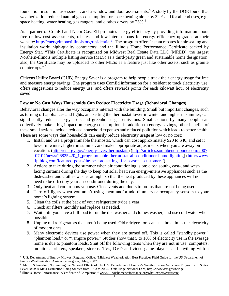foundation insulation assessment, and a window and door assessments.<sup>[5](#page-13-0)</sup> A study by the DOE found that weatherization reduced natural gas consumption for space heating alone by 32% and for all end uses, e.g., space heating, water heating, gas rangers, and clothes dryers by 23%.<sup>[6](#page-13-1)</sup>

As a partner of ComEd and Nicor Gas, EII promotes energy efficiency by providing information about free or low-cost assessments, rebates, and low-interest loans for energy efficiency upgrades at their website: [http://energyimpactillinois.org/residential/.](http://energyimpactillinois.org/residential/) The program offers instant rebates for air sealing and insulation work; high-quality contractors; and the Illinois Home Performance Certificate backed by Energy Star. "This Certificate is recognized on Midwest Real Estate Data LLC (MRED), the largest Northern-Illinois multiple listing service (MLS) as a third-party green and sustainable home designation; also, the Certificate may be uploaded to other MLSs as a feature just like other assets, such as granite countertops."[7](#page-13-2)

Citizens Utility Board (CUB) Energy Saver is a program to help people track their energy usage for free and measure energy savings. The program uses ComEd information for a resident to track electricity use, offers suggestions to reduce energy use, and offers rewards points for each kilowatt hour of electricity saved.

#### **Low or No Cost Ways Households Can Reduce Electricity Usage (Behavioral Changes)**

Behavioral changes alter the way occupants interact with the building. Small but important changes, such as turning off appliances and lights, and setting the thermostat lower in winter and higher in summer, can significantly reduce energy costs and greenhouse gas emissions. Small actions by many people can collectively make a big impact on energy consumption. In addition to energy savings, other benefits of these small actions include reduced household expenses and reduced pollution which leads to better health. These are some ways that households can easily reduce electricity usage at low or no cost:

- 1. Install and use a programmable thermostat, which can cost approximately \$20 to \$40, and set it lower in winter, higher in summer, and make appropriate adjustments when you are away on vacation. [\(http://energy.gov/energysaver/thermostats\)](http://energy.gov/energysaver/thermostats) [\(http://articles.southbendtribune.com/2007](http://articles.southbendtribune.com/2007%0b-07-07/news/26825420_1_programmable-thermostat-air-conditioner-home-lighting) [-07-07/news/26825420\\_1\\_programmable-thermostat-air-conditioner-home-lighting\)](http://articles.southbendtribune.com/2007%0b-07-07/news/26825420_1_programmable-thermostat-air-conditioner-home-lighting) (http://www .fplblog.com/featured-posts/the-best-ac-settings-for-seasonal-customers/)
- 2. Actions to take during the summer when air conditioning is on: close south-, east-, and westfacing curtains during the day to keep out solar heat; run energy-intensive appliances such as the dishwasher and clothes washer at night so that the heat produced by these appliances will not need to be offset by your air conditioner during the day.
- 3. Only heat and cool rooms you use. Close vents and doors to rooms that are not being used.
- 4. Turn off lights when you aren't using them and/or add dimmers or occupancy sensors to your home's lighting system
- 5. Clean the coils at the back of your refrigerator twice a year.
- 6. Check air filters monthly and replace as needed.
- 7. Wait until you have a full load to run the dishwasher and clothes washer, and use cold water when possible.
- 8. Unplug old refrigerators that aren't being used. Old refrigerators can use three times the electricity of modern ones.
- 9. Many electronic devices use power when they are turned off. This is called "standby power," "phantom load," or "vampire power." Studies show that 5 to 10% of electricity use in the average home is due to phantom loads. Shut off the following items when they are not in use: computers, monitors, printers, speakers, stereos, TVs, DVD and video game players, and anything with a

<span id="page-13-0"></span>j 5 U.S. Department of Energy Midwest Regional Office, "Midwest Weatherization Best Practices Field Guide for the US Department of Energy Weatherization Assistance Program," May, 2007.

<span id="page-13-1"></span><sup>6</sup> Martin Schweitzer, "Estimating the National Effects of The U.S. Department of Energy's Weatherization Assistance Program with State-Level Data: A Meta Evaluation Using Studies from 1993 to 2005," Oak Ridge National Labs, http://www.osti.gov/bridge.

<span id="page-13-2"></span><sup>7</sup> Illinois Home Performance, "Certificate of Completion,[" www.illinoishomeperformance.org/what-expect/certificate.](http://www.illinoishomeperformance.org/what-expect/certificate)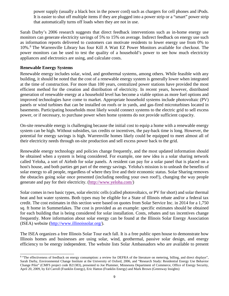power supply (usually a black box in the power cord) such as chargers for cell phones and iPods. It is easier to shut off multiple items if they are plugged into a power strip or a "smart" power strip that automatically turns off loads when they are not in use.

Sarah Darby's 2006 research suggests that direct feedback interventions such as in-home energy use monitors can generate electricity savings of 5% to 15% on average. Indirect feedback on energy use such as information reports delivered to customers can motivate residents to lower energy use from 0% to 10%.[8](#page-14-0) The Warrenville Library has four Kill A Watt EZ Power Monitors available for checkout. The power monitors can be used to test the quality of a household's power to see how much electricity appliances and electronics are using, and calculate costs.

#### **Renewable Energy Systems**

Renewable energy includes solar, wind, and geothermal systems, among others. While feasible with any building, it should be noted that the cost of a renewable energy system is generally lower when integrated at the time of construction. For more than 100 years, centralized power stations have provided the most efficient method for the creation and distribution of electricity. In recent years, however, distributed generation of renewable energy at a household level has become a viable option as more fuel options and improved technologies have come to market. Appropriate household systems include photovoltaic (PV) panels or wind turbines that can be installed on roofs or in yards, and gas-fired microturbines located in basements. Participating households most likely would connect systems to the electric grid to sell excess power, or if necessary, to purchase power when home systems do not provide sufficient capacity.

On-site renewable energy is challenging because the initial cost to equip a home with a renewable energy system can be high. Without subsidies, tax credits or incentives, the pay-back time is long. However, the potential for energy savings is high. Warrenville homes likely could be equipped to meet almost all of their electricity needs through on-site production and sell excess power back to the grid.

Renewable energy technology and policies change frequently, and the most updated information should be obtained when a system is being considered. For example, one new idea is a solar sharing network called Yeloha, a sort of Airbnb for solar panels. A resident can pay for a solar panel that is placed on a host's house, and both parties get part of the energy savings. Yeloha's mission is to unleash the benefits of solar energy to all people, regardless of where they live and their economic status. Solar Sharing removes the obstacles going solar once presented (including needing your own roof!), changing the way people generate and pay for their electricity. [\(http://www.yeloha.com/\)](http://www.yeloha.com/)

Solar comes in two basic types, solar electric cells (called photovoltaics, or PV for short) and solar thermal heat and hot water systems. Both types may be eligible for a State of Illinois rebate and/or a federal tax credit. The cost estimates in this section were based on quotes from Solar Service Inc. in 2014 for a 1,750 sq. ft home in Summerlakes. The cost is provided as an example: specific estimates should be obtained for each building that is being considered for solar installation. Costs, rebates and tax incentives change frequently. More information about solar energy can be found at the Illinois Solar Energy Association (ISEA) website [\(http://www.illinoissolar.org/\)](http://www.illinoissolar.org/).

The ISEA organizes a free Illinois Solar Tour each fall. It is a free public open house to demonstrate how Illinois homes and businesses are using solar, wind, geothermal, passive solar design, and energy efficiency to be energy independent. The website lists Solar Ambassadors who are available to present

<span id="page-14-0"></span>j <sup>8</sup> "The effectiveness of feedback on energy consumption: a review for DEFRA of the literature on metering, billing, and direct displays", Sarah Darby, Environmental Change Institute at the University of Oxford, 2006, and "Research Study: Residential Energy Use Behavior Change Pilot" (CMFS project code B21383), presented to Joe Plummer, Minnesota Department of Commerce, Office of Energy Security, April 20, 2009, by Ed Carroll (Franklin Energy), Eric Hatton (Franklin Energy) and Mark Brown (Greenway Insights)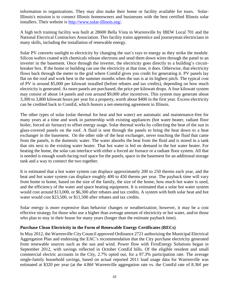information to organizations. They may also make their home or facility available for tours. Solar-Illinois's mission is to connect Illinois homeowners and businesses with the best certified [Illinois solar](http://www.solar-illinois.org/home-solar-power-facts/solar-installation-panels-roof-process)  [installers.](http://www.solar-illinois.org/home-solar-power-facts/solar-installation-panels-roof-process) Their website is [http://www.solar-illinois.org/.](http://www.solar-illinois.org/)

A high tech training facility was built at 28600 Bella Vista in Warrenville by IBEW Local 701 and the National Electrical Contractors Association. This facility trains apprentice and journeyman electricians in many skills, including the installation of renewable energy.

Solar PV converts sunlight to electricity by changing the sun's rays to energy as they strike the module. Silicon wafers coated with chemicals release electrons and send them down wires through the panel to an inverter in the basement. Once through the inverter, the electricity goes directly to a building's circuitbreaker box. If the home or building can use the electricity at that time, it does. Otherwise, that electricity flows back through the meter to the grid where ComEd gives you credit for generating it. PV panels lay flat on the roof and work best in the summer months when the sun is at its highest pitch. The typical cost of PV is around \$5,000 per kilowatt installed (before rebates and tax credits), depending on how much electricity is generated. As more panels are purchased, the price per kilowatt drops. A four kilowatt system may consist of about 14 panels and cost around \$9,000 after incentives. This system may generate about 3,300 to 3,800 kilowatt hours per year for a property, worth about \$400 in the first year. Excess electricity can be credited back to ComEd, which honors a net-metering agreement in Illinois.

The other types of solar (solar thermal for heat and hot water) are automatic and maintenance-free for many years at a time and work in partnership with existing appliances (hot water heater, radiant floor boiler, forced air furnace) to offset energy usage. Solar thermal works by collecting the heat of the sun in glass-covered panels on the roof. A fluid is sent through the panels to bring the heat down to a heat exchanger in the basement. On the other side of the heat exchanger, never touching the fluid that came from the panels, is the domestic water. The water absorbs the heat from the fluid and is stored in a tank that sits next to the existing water heater. That hot water is fed on demand to the hot water heater. For heating the home, the solar can interface with either a forced air furnace or a radiant floor system. All that is needed is enough south-facing roof space for the panels, space in the basement for an additional storage tank and a way to connect the two together.

It is estimated that a hot water system can displace approximately 200 to 250 therms each year, and the heat and hot water system can displace roughly 400 to 450 therms per year. The payback time will vary from home to home, based on the size of the family, the size of the home, how much hot water is used, and the efficiency of the water and space heating equipment. It is estimated that a solar hot water system would cost around \$13,000, or \$6,300 after rebates and tax credits. A system with both solar heat and hot water would cost \$23,500, or \$11,500 after rebates and tax credits.

Solar energy is more expensive than behavior changes or weatherization; however, it may be a cost effective strategy for those who use a higher than average amount of electricity or hot water, and/or those who plan to stay in their house for many years (longer than the estimate payback time).

#### **Purchase Clean Electricity in the Form of Renewable Energy Certificates (RECs)**

In May 2012, the Warrenville City Council approved Ordinance 2721 authorizing the Municipal Electrical Aggregation Plan and endorsing the EAC's recommendation that the City purchase electricity generated from renewable sources such as the sun and wind. Power flow with FirstEnergy Solutions began in September 2012, with savings reflected in October ComEd bills. Of the eligible resident and small commercial electric accounts in the City, 2.7% opted out, for a 97.3% participation rate. The average single-family household savings, based on actual reported 2011 load usage data for Warrenville was estimated at \$320 per year (at the 4.86¢ Warrenville aggregation rate vs. the ComEd rate of 8.36¢ per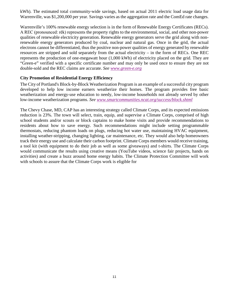kWh). The estimated total community-wide savings, based on actual 2011 electric load usage data for Warrenville, was \$1,200,000 per year. Savings varies as the aggregation rate and the ComEd rate changes.

Warrenville's 100% renewable energy selection is in the form of Renewable Energy Certificates (RECs). A REC (pronounced: rěk) represents the property rights to the environmental, social, and other non-power qualities of renewable electricity generation. Renewable energy generators serve the grid along with nonrenewable energy generators produced by coal, nuclear and natural gas. Once in the grid, the actual electrons cannot be differentiated, thus the positive non-power qualities of energy generated by renewable resources are stripped and sold separately from the actual electricity – in the form of RECs. One REC represents the production of one-megawatt hour (1,000 kWh) of electricity placed on the grid. They are "Green-e" verified with a specific certificate number and may only be used once to ensure they are not double-sold and the REC claims are accurate. *See [www.green-e.org](http://www.green-e.org/)*

#### **City Promotion of Residential Energy Efficiency**

The City of Portland's Block-by-Block Weatherization Program is an example of a successful city program developed to help low income earners weatherize their homes. The program provides free basic weatherization and energy-use education to needy, low-income households not already served by other low-income weatherization programs. *See [www.smartcommunities.ncat.org/success/block.shtml](http://www.smartcommunities.ncat.org/success/block.shtml)*

The Chevy Chase, MD, CAP has an interesting strategy called Climate Corps, and its expected emissions reduction is 23%. The town will select, train, equip, and supervise a Climate Corps, comprised of high school students and/or scouts or block captains to make home visits and provide recommendations to residents about how to save energy. Such recommendations might include setting programmable thermostats, reducing phantom loads on plugs, reducing hot water use, maintaining HVAC equipment, installing weather-stripping, changing lighting, car maintenance, etc. They would also help homeowners track their energy use and calculate their carbon footprint. Climate Corps members would receive training, a tool kit (with equipment to do their job as well as some giveaways) and t-shirts. The Climate Corps would communicate the results using creative means (YouTube videos, science fair projects, hands on activities) and create a buzz around home energy habits. The Climate Protection Committee will work with schools to assure that the Climate Corps work is eligible for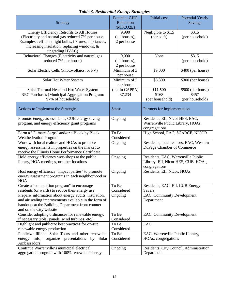|                                                                                          | <b>Potential GHG</b>        | <b>Initial</b> cost                     | <b>Potential Yearly</b>    |
|------------------------------------------------------------------------------------------|-----------------------------|-----------------------------------------|----------------------------|
| Strategy                                                                                 | Reduction                   |                                         | <b>Savings</b>             |
| Energy Efficiency Retrofits to All Houses                                                | (MTCO2E)<br>9,990           | Negligible to \$1.5                     | \$315                      |
| (Electricity and natural gas reduced 7% per house.                                       | (all houses);               | ${\rm (per\ sq\ ft)}$                   | (per household)            |
| Examples : efficient light bulbs, fixtures, appliances,                                  | 2 per house                 |                                         |                            |
| increasing insulation, replacing windows, &                                              |                             |                                         |                            |
| upgrading HVAC)                                                                          |                             |                                         |                            |
| Behavioral Changes (Electricity and natural gas                                          | 9,990                       | None                                    | \$315                      |
| reduced 7% per house)                                                                    | (all houses);               |                                         | (per household)            |
|                                                                                          |                             |                                         |                            |
| Solar Electric Cells (Photovoltaics, or PV)                                              | 2 per house<br>Minimum of 3 | \$9,000                                 | \$400 (per house)          |
|                                                                                          | per house                   |                                         |                            |
| Solar Hot Water System                                                                   | Minimum of 2                | \$6,300                                 | \$300 (per house)          |
|                                                                                          | per house                   |                                         |                            |
|                                                                                          | (not in CAPPA)              |                                         |                            |
| Solar Thermal Heat and Hot Water System<br>REC Purchases (Municipal Aggregation Program: | 37,234                      | \$11,500<br>\$168                       | \$500 (per house)<br>\$457 |
| 97% of households)                                                                       |                             |                                         | (per household)            |
|                                                                                          |                             | (per household)                         |                            |
| Actions to Implement the Strategies                                                      | <b>Status</b>               | Partners for Implementation             |                            |
|                                                                                          |                             |                                         |                            |
| Promote energy assessments, CUB energy saving                                            | Ongoing                     | Residents, EII, Nicor HES, EAC,         |                            |
| program, and energy efficiency grant programs                                            |                             | Warrenville Public Library, HOAs,       |                            |
|                                                                                          |                             | congregations                           |                            |
| Form a "Climate Corps" and/or a Block by Block                                           | To Be                       | High School, EAC, SCARCE, NICOR         |                            |
| <b>Weatherization Program</b>                                                            | Considered                  |                                         |                            |
| Work with local realtors and HOAs to promote                                             | Ongoing                     | Residents, local realtors, EAC, Western |                            |
| energy assessments in properties on the market to                                        |                             | DuPage Chamber of Commerce              |                            |
| receive the Illinois Home Performance Certificate                                        |                             |                                         |                            |
| Hold energy efficiency workshops at the public                                           | Ongoing                     | Residents, EAC, Warrenville Public      |                            |
| library, HOA meetings, or other locations                                                |                             | Library, EII, Nicor HES, CUB, HOAs,     |                            |
|                                                                                          |                             | congregations                           |                            |
| Host energy efficiency "impact parties" to promote                                       | Ongoing                     | Residents, EII, Nicor, HOAs             |                            |
| energy assessment programs in each neighborhood or                                       |                             |                                         |                            |
| <b>HOA</b>                                                                               |                             |                                         |                            |
| Create a "competition program" to encourage                                              | To Be                       | Residents, EAC, EII, CUB Energy         |                            |
| residents (or wards) to reduce their energy use                                          | Considered                  | Savers                                  |                            |
| Prepare information about energy audits, insulation,                                     | Ongoing                     | EAC, Community Development              |                            |
| and air sealing improvements available in the form of                                    |                             | Department                              |                            |
| handouts at the Building Department front counter                                        |                             |                                         |                            |
| and on the City website                                                                  |                             |                                         |                            |
| Consider adopting ordinances for renewable energy,                                       | To Be                       | EAC, Community Development              |                            |
| if necessary (solar panels, wind turbines, etc.)                                         | Considered                  |                                         |                            |
| Highlight and publicize best practices for on-site                                       | To Be                       | EAC                                     |                            |
| renewable energy production                                                              | Considered                  |                                         |                            |
| Publicize Illinois Solar Tours and other renewable                                       | To Be                       | EAC, Warrenville Public Library,        |                            |
| energy info; organize presentations<br>Solar<br>by                                       | Considered                  | HOAs, congregations                     |                            |
| Ambassadors.                                                                             |                             |                                         |                            |
| Continue Warrenville's municipal electrical                                              | Ongoing                     | Residents, City Council, Administration |                            |
| aggregation program with 100% renewable energy                                           |                             | Department                              |                            |

## *Table 3. Residential Energy Strategies*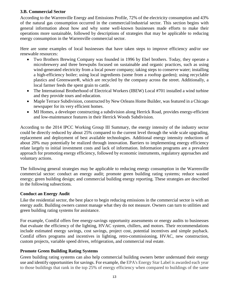#### **3.B. Commercial Sector**

According to the Warrenville Energy and Emissions Profile, 72% of the electricity consumption and 43% of the natural gas consumption occurred in the commercial/industrial sector. This section begins with general information about how and why some well-known businesses made efforts to make their operations more sustainable, followed by descriptions of strategies that may be applicable to reducing energy consumption in the Warrenville commercial sector.

Here are some examples of local businesses that have taken steps to improve efficiency and/or use renewable resources:

- Two Brothers Brewing Company was founded in 1996 by Ebel brothers. Today, they operate a microbrewery and three brewpubs focused on sustainable and organic practices, such as using wind-generated electricity from a local power company; taking steps to conserve water; installing a high-efficiency boiler; using local ingredients (some from a rooftop garden); using recyclable plastics and Greenware**®**, which are recycled by the company across the street. Additionally, a local farmer feeds the spent grain to cattle.
- The International Brotherhood of Electrical Workers (IBEW) Local #701 installed a wind turbine and they provide tours and education.
- Maple Terrace Subdivision, constructed by New Orleans Home Builder, was featured in a Chicago newspaper for its very efficient homes.
- MI Homes, a developer constructing a subdivision along Herrick Road, provides energy-efficient and low-maintenance features in their Herrick Woods Subdivision.

According to the 2014 IPCC Working Group III Summary, the energy intensity of the industry sector could be directly reduced by about 25% compared to the current level through the wide scale upgrading, replacement and deployment of best available technologies. Additional energy intensity reductions of about 20% may potentially be realized through innovation. Barriers to implementing energy efficiency relate largely to initial investment costs and lack of information. Information programs are a prevalent approach for promoting energy efficiency, followed by economic instruments, regulatory approaches and voluntary actions.

The following general strategies may be applicable to reducing energy consumption in the Warrenville commercial sector: conduct an energy audit; promote green building rating systems; reduce wasted energy; green building design; and commercial building energy reporting. These strategies are described in the following subsections.

#### **Conduct an Energy Audit**

Like the residential sector, the best place to begin reducing emissions in the commercial sector is with an energy audit. Building owners cannot manage what they do not measure. Owners can turn to utilities and green building rating systems for assistance.

For example, ComEd offers free energy-savings opportunity assessments or energy audits to businesses that evaluate the efficiency of the lighting, HVAC system, chillers, and motors. Their recommendations include estimated energy savings, cost savings, project cost, potential incentives and simple payback. ComEd offers programs and incentives in lighting, retro-commissioning, HVAC, new construction, custom projects, variable speed drives, refrigeration, and commercial real estate.

#### **Promote Green Building Rating Systems**

Green building rating systems can also help commercial building owners better understand their energy use and identify opportunities for savings. For example, the EPA's Energy Star Label is awarded each year to those buildings that rank in the top 25% of energy efficiency when compared to buildings of the same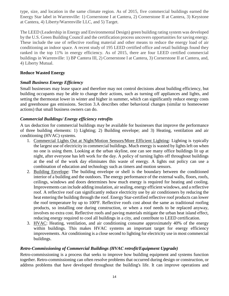type, size, and location in the same climate region. As of 2015, five commercial buildings earned the Energy Star label in Warrenville: 1) Cornerstone I at Cantera, 2) Cornerstone II at Cantera, 3) Keystone at Cantera, 4) Liberty/Warrenville LLC, and 5) Target.

The LEED (Leadership in Energy and Environmental Design) green building rating system was developed by the U.S. Green Building Council and the certification process uncovers opportunities for saving energy. These include the use of reflective roofing material and other means to reduce the energy load of air conditioning an indoor space. A recent study of 195 LEED certified office and retail buildings found they ranked in the top 11% in energy efficiency. As of 2015, there are four LEED certified commercial buildings in Warrenville: 1) BP Cantera III, 2) Cornerstone I at Cantera, 3) Cornerstone II at Cantera, and, 4) Liberty Mutual.

#### **Reduce Wasted Energy**

#### *Small Business Energy Efficiency*

Small businesses may lease space and therefore may not control decisions about building efficiency, but building occupants may be able to change their actions, such as turning off appliances and lights, and setting the thermostat lower in winter and higher in summer, which can significantly reduce energy costs and greenhouse gas emissions. Section 3.A describes other behavioral changes (similar to homeowner actions) that small business owners can do.

#### *Commercial Buildings/ Energy efficiency retrofits*

A tax deduction for commercial buildings may be available for businesses that improve the performance of three building elements: 1) Lighting; 2) Building envelope; and 3) Heating, ventilation and air conditioning (HVAC) systems.

- 1. Commercial Lights Out at Night/Motion Sensors/More Efficient Lighting: Lighting is typically the largest use of electricity in commercial buildings. Much energy is wasted by lights left on when no one is using them. Looking at the urban skyline, one can see many office buildings lit up at night, after everyone has left work for the day. A policy of turning lights off throughout buildings at the end of the work day eliminates this waste of energy. A lights out policy can use a combination of education and technology such as timers and motion sensors.
- 2. Building Envelope: The building envelope or shell is the boundary between the conditioned interior of a building and the outdoors. The energy performance of the external walls, floors, roofs, ceilings, windows and doors determines how much energy is required for heating and cooling. Improvements can include adding insulation, air sealing, energy efficient windows, and a reflective roof. A reflective roof can significantly reduce electricity use by air conditioners by reducing the heat entering the building through the roof. Energy Star-certified reflective roof products can lower the roof temperature by up to 100ºF. Reflective roofs cost about the same as traditional roofing products, so installing one during construction, or when a roof needs to be replaced anyway, involves no extra cost. Reflective roofs and paving materials mitigate the urban heat island effect, reducing energy required to cool all buildings in a city, and contribute to LEED certification.
- 3. HVAC: Heating, ventilation, and air conditioning consume approximately 40% of the energy within buildings. This makes HVAC systems an important target for energy efficiency improvements. Air conditioning is a close second to lighting for electricity use in most commercial buildings.

#### *Retro-Commissioning of Commercial Buildings (HVAC retrofit/Equipment Upgrade)*

Retro-commissioning is a process that seeks to improve how building equipment and systems function together. Retro-commissioning can often resolve problems that occurred during design or construction, or address problems that have developed throughout the building's life. It can improve operations and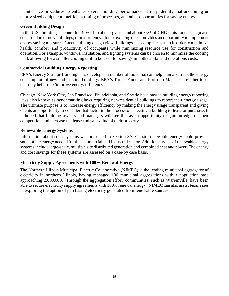maintenance procedures to enhance overall building performance. It may identify malfunctioning or poorly sized equipment, inefficient timing of processes, and other opportunities for saving energy.

#### **Green Building Design**

In the U.S., buildings account for 40% of total energy use and about 35% of GHG emissions. Design and construction of new buildings, or major renovation of existing ones, provides an opportunity to implement energy saving measures. Green building design views buildings as a complete system in order to maximize health, comfort, and productivity of occupants while minimizing resource use for construction and operation. For example, windows, insulation, and lighting systems can be chosen to minimize the cooling load, allowing for a smaller cooling unit to be used for savings in both capital and operations costs.

#### **Commercial Building Energy Reporting**

EPA's Energy Star for Buildings has developed a number of tools that can help plan and track the energy consumption of new and existing buildings. EPA's Target Finder and Portfolio Manager are other tools that may help track/improve energy efficiency.

Chicago, New York City, San Francisco, Philadelphia, and Seattle have passed building energy reporting laws also known as benchmarking laws requiring non-residential buildings to report their energy usage. The ultimate purpose is to increase energy efficiency by making the energy usage transparent and giving clients an opportunity to consider that factor in the process of selecting a building to lease or purchase. It is hoped that building owners and managers will see this as an opportunity to gain an edge on their competition and increase the lease and sale value of their property.

#### **Renewable Energy Systems**

Information about solar systems was presented in Section 3A. On-site renewable energy could provide some of the energy needed for the commercial and industrial sector. Additional types of renewable energy systems include large-scale, multiple site distributed generation and combined heat and power. The energy and cost savings for these systems are assessed on a case-by case basis.

#### **Electricity Supply Agreements with 100% Renewal Energy**

The Northern Illinois Municipal Electric Collaborative (NIMEC) is the leading municipal aggregator of electricity in northern Illinois, having managed 100 municipal aggregations with a population base approaching 2,000,000. Through the aggregation effort, communities, such as Warrenville, have been able to secure electricity supply agreements with 100% renewal energy. NIMEC can also assist businesses in exploring the option of purchasing electricity generated from renewable sources.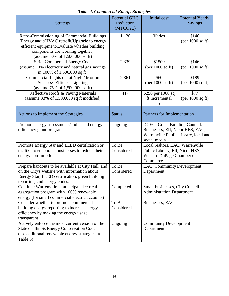| <b>Strategy</b>                                                                                                                                                                                                             | <b>Potential GHG</b><br>Reduction<br>(MTCO2E) | <b>Initial</b> cost                                                                                                        | <b>Potential Yearly</b><br>Savings   |
|-----------------------------------------------------------------------------------------------------------------------------------------------------------------------------------------------------------------------------|-----------------------------------------------|----------------------------------------------------------------------------------------------------------------------------|--------------------------------------|
| <b>Retro-Commissioning of Commercial Buildings</b><br>(Energy audit/HVAC retrofit/Upgrade to energy<br>efficient equipment/Evaluate whether building<br>components are working together)<br>(assume 50% of 1,500,000 sq ft) | 1,126                                         | Varies                                                                                                                     | \$146<br>${\rm (per\ 1000\ sq\ ft)}$ |
| <b>Strict Commercial Energy Code</b><br>(assume 10% electricity and natural gas savings<br>in 100% of 1,500,000 sq ft)                                                                                                      | 2,339                                         | \$1500<br>(per $1000$ sq ft)                                                                                               | \$146<br>${\rm (per\ 1000\ sq\ ft)}$ |
| Commercial Lights out at Night/Motion<br>Sensors/ Efficient Lighting<br>(assume $75\%$ of 1,500,000 sq ft)                                                                                                                  | 2,361                                         | \$60<br>(per 1000 sq ft)                                                                                                   | \$189<br>${\rm (per\ 1000\ sq\ ft)}$ |
| Reflective Roofs & Paving Materials<br>(assume $33\%$ of 1,500,000 sq ft modified)                                                                                                                                          | 417                                           | \$250 per 1000 sq<br>ft incremental<br>cost                                                                                | \$77<br>${\rm (per\ 1000\ sq\ ft)}$  |
| Actions to Implement the Strategies                                                                                                                                                                                         | <b>Status</b>                                 | Partners for Implementation                                                                                                |                                      |
| Promote energy assessments/audits and energy<br>efficiency grant programs                                                                                                                                                   | Ongoing                                       | DCEO, Green Building Council,<br>Businesses, EII, Nicor HES, EAC,<br>Warrenville Public Library, local and<br>social media |                                      |
| Promote Energy Star and LEED certification or<br>the like to encourage businesses to reduce their<br>energy consumption.                                                                                                    | To Be<br>Considered                           | Local realtors, EAC, Warrenville<br>Public Library, EII, Nicor HES,<br>Western DuPage Chamber of<br>Commerce               |                                      |
| Prepare handouts to be available at City Hall, and<br>on the City's website with information about<br>Energy Star, LEED certification, green building<br>reporting, and energy codes.                                       | To Be<br>Considered                           | EAC, Community Development<br>Department                                                                                   |                                      |
| Continue Warrenville's municipal electrical<br>aggregation program with 100% renewable<br>energy (for small commercial electric accounts)                                                                                   | Completed                                     | Small businesses, City Council,<br><b>Administration Department</b>                                                        |                                      |
| Consider whether to promote commercial<br>building energy reporting to increase energy<br>efficiency by making the energy usage<br>transparent                                                                              | To Be<br>Considered                           | Businesses, EAC                                                                                                            |                                      |
| Actively enforce the most current version of the<br>State of Illinois Energy Conservation Code<br>(see additional renewable energy strategies in                                                                            | Ongoing                                       | <b>Community Development</b><br>Department                                                                                 |                                      |
| Table 3)                                                                                                                                                                                                                    |                                               |                                                                                                                            |                                      |

## *Table 4. Commercial Energy Strategies*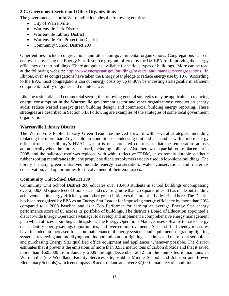#### **3.C. Government Sector and Other Organizations**

The government sector in Warrenville includes the following entities:

- City of Warrenville
- Warrenville Park District
- Warrenville Library District
- Warrenville Fire Protection District
- Community School District 200

Other entities include congregations and other non-governmental organizations. Congregations can cut energy use by using the Energy Star Resource program offered by the US EPA for improving the energy efficiency of their buildings. There are guides available for various types of buildings. More can be read at the following website: [http://www.energystar.gov/buildings/owners\\_and\\_managers/congregations.](http://www.energystar.gov/buildings/owners_and_managers/congregations) In Illinois, over 44 congregations have taken the Energy Star pledge to reduce energy use by 10%. According to the EPA, most congregations can cut energy costs by up to 30% by investing strategically in efficient equipment, facility upgrades and maintenance.

Like the residential and commercial sector, the following general strategies may be applicable to reducing energy consumption in the Warrenville government sector and other organizations: conduct an energy audit; reduce wasted energy; green building design; and commercial building energy reporting. These strategies are described in Section 3.B. Following are examples of the strategies of some local government organizations:

#### **Warrenville Library District**

The Warrenville Public Library Green Team has moved forward with several strategies, including replacing the more than 25 year-old air conditioner condensing unit and air handler with a more energy efficient one. The library's HVAC system is on automated controls so that the temperature adjusts automatically when the library is closed, including holidays. Also there was a partial roof replacement in 2008, and the ballasted roof was replaced with white reflective EPDM, an extremely durable synthetic rubber roofing membrane (ethylene propylene diene terpolymer) widely used in low-slope buildings. The library's many green initiatives include energy conservation, water conservation, and materials conservation, and opportunities for involvement of their employees.

#### **Community Unit School District 200**

Community Unit School District 200 educates over 13,400 students in school buildings encompassing over 2,500,000 square feet of floor space and covering more than 25 square miles. It has made outstanding achievements in energy efficiency and other green initiatives that are briefly described here. The District has been recognized by EPA as an Energy Star Leader for improving energy efficiency by more than 20% compared to a 2008 baseline and as a Top Performer for earning an average Energy Star energy performance score of 85 across its portfolio of buildings. The district's Board of Education appointed a district-wide Energy Operations Manager to develop and implement a comprehensive energy management plan which utilizes a building audit system. The Energy Operations Manager uses software to track energy data, identify energy savings opportunities, and oversee improvements. Successful efficiency measures have included an increased focus on maintenance of energy systems and equipment; upgrading lighting systems; reviewing and modifying both indoor and outdoor lighting schedules and thermostat set points; and purchasing Energy Star qualified office equipment and appliances whenever possible. The district estimates that it prevents the emissions of more than 3,931 metric tons of carbon dioxide and that it saved more than \$605,000 from January 2009 through December 2012 for the four sites it maintains in Warrenville (the Woodland Facility Services site, Hubble Middle School, and Johnson and Bower Elementary Schools) which encompass 48 acres of land and over 387,000 square feet of conditioned space.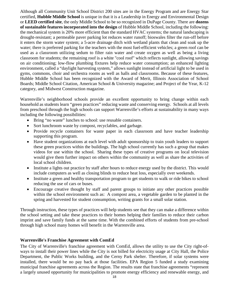Although all Community Unit School District 200 sites are in the Energy Program and are Energy Star certified, **Hubble Middle School** is unique in that it is a Leadership in Energy and Environmental Design or **LEED certified site**, the only Middle School to be so recognized in DuPage County. There are **dozens of sustainable features incorporated into the design** of Hubble Middle School, including the following: the mechanical system is 20% more efficient than the standard HVAC systems; the natural landscaping is drought-resistant; a permeable paver parking lot reduces water runoff; bioswales filter the run-off before it enters the storm water system; a 5-acre drainage ditch with wetland plants that clean and soak up the water; there is preferred parking for the teachers with the most fuel-efficient vehicles; a green roof can be used as a classroom utilizing sedum to filter rain water and create oxygen as well as being a living classroom for students; the remaining roof is a white "cool roof" which reflects sunlight, allowing savings on air conditioning; low-flow plumbing fixtures help reduce water consumption; an enhanced lighting environment, called a ["daylight harvesting](http://en.wikipedia.org/wiki/Daylight_harvesting) system," allows sunlight instead of artificial light to be used in gyms, commons, choir and orchestra rooms as well as halls and classrooms. Because of these features, Hubble Middle School has been recognized with the Award of Merit, Illinois Association of School Boards; Middle School Citation, American School & University magazine; and Project of the Year, K-12 category, and Midwest Construction magazine.

Warrenville's neighborhood schools provide an excellent opportunity to bring change within each household as students learn "green practices" reducing waste and conserving energy. Schools at all levels from preschool through the high schools can support Warrenville's efforts at sustainability in many ways including the following possibilities:

- Bring "no waste" lunches to school: use reusable containers.
- Sort lunchroom waste by compost, recyclables, and garbage.
- Provide recycle containers for waste paper in each classroom and have teacher leadership supporting this program.
- Have student organizations at each level with adult sponsorship to train youth leaders to support these green practices within the buildings. The high school currently has such a group that makes videos for use within the school. Sharing these types of creative programs on local television would give them further impact on others within the community as well as share the activities of local school children.
- Institute a lights out practice by staff after hours to reduce energy used by the district. This would include computers as well as closing blinds to reduce heat loss, especially over weekends.
- Institute a green and healthy transportation program to get students to walk or ride bikes to school reducing the use of cars or buses.
- Encourage creative thought by staff and parent groups to initiate any other practices possible within the school environment such as: A compost area, a vegetable garden to be planted in the spring and harvested for student consumption, writing grants for a small solar station.

Through instruction, these types of practices will help students see that they can make a difference within the school setting and take these practices to their homes helping their families to reduce their carbon imprint and save family funds at the same time. With the combined efforts of students from pre-school through high school many homes will benefit in the Warrenville area.

#### **Warrenville's Franchise Agreement with ComEd**

The City of Warrenville's franchise agreement with ComEd, allows the utility to use the City right-ofways to install their power lines while the City is not billed for electricity usage at City Hall, the Police Department, the Public Works building, and the Cerny Park shelter. Therefore, if solar systems were installed, there would be no pay back at those facilities. EPA Region 5 funded a study examining municipal franchise agreements across the Region. The results state that franchise agreements "represent a largely unused opportunity for municipalities to promote energy efficiency and renewable energy, and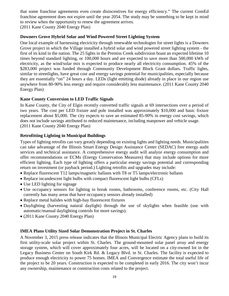that some franchise agreements even create disincentives for energy efficiency." The current ComEd franchise agreement does not expire until the year 2054. The study may be something to be kept in mind to review when the opportunity to renew the agreement arrives.

(2011 Kane County 2040 Energy Plan)

#### **Downers Grove Hybrid Solar and Wind Powered Street Lighting System**

One local example of harnessing electricity through renewable technologies for street lights is a Downers Grove project in which the Village installed a hybrid solar and wind powered street lighting system - the first of its kind in the nation. The 25 lights in the Prentiss Creek subdivision boast an expected lifetime 10 times beyond standard lighting, or 100,000 hours and are expected to save more than 500,000 kWh of electricity, as the wind/solar mix is expected to produce nearly all electricity consumption. 45% of the \$283,000 project was funded through Community Development Block Grant dollars. Traffic lights, similar to streetlights, have great cost and energy savings potential for municipalities, especially because they are essentially "on" 24 hours a day. LEDs (light emitting diode) already in place in our region use anywhere from 80-90% less energy and require considerably less maintenance. (2011 Kane County 2040 Energy Plan)

#### **Kane County Conversion to LED Traffic Signals**

In Kane County, the City of Elgin recently converted traffic signals at 69 intersections over a period of two years. The cost per LED fixture and pole installed was approximately \$10,000 and basic fixture replacement about \$5,000. The city expects to save an estimated 85-90% in energy cost savings, which does not include savings attributed to reduced maintenance, including manpower and vehicle usage. (2011 Kane County 2040 Energy Plan)

#### **Retrofitting Lighting in Municipal Buildings**

Types of lighting retrofits can vary greatly depending on existing lights and lighting needs. Municipalities can take advantage of the Illinois Smart Energy Design Assistance Center (SEDAC) free energy audit services and technical assistance. A comprehensive energy audit will analyze energy consumption and offer recommendations or ECMs (Energy Conservation Measures) that may include options for more efficient lighting. Each type of lighting offers a particular energy savings potential and corresponding return on investment (or payback period.) Lighting retrofits and upgrades may include:

- Replace fluorescent T12 lamps/magnetic ballasts with T8 or T5 lamps/electronic ballasts
- Replace incandescent light bulbs with compact fluorescent light bulbs (CFLs)
- Use LED lighting for signage
- Use occupancy sensors for lighting in break rooms, bathrooms, conference rooms, etc. (City Hall currently has many areas that have occupancy sensors already installed)
- Replace metal halides with high-bay fluorescent fixtures
- Daylighting (harvesting natural daylight) through the use of skylights when feasible (use with automatic/manual daylighting controls for more savings).
- (2011 Kane County 2040 Energy Plan)

#### **IMEA Plans Utility Sized Solar Demonstration Project in St. Charles**

A November 3, 2015 press release indicates that the Illinois Municipal Electric Agency plans to build its first utility-scale solar project within St. Charles. The ground-mounted solar panel array and energy storage system, which will cover approximately four acres, will be located on a city-owned lot in the Legacy Business Center on South Kirk Rd. & Legacy Blvd. in St. Charles. The facility is expected to produce enough electricity to power 75 homes. IMEA and Convergence estimate the total useful life of the project to be 20 years. Construction is expected to be completed in early 2016. The city won't incur any ownership, maintenance or construction costs related to the project.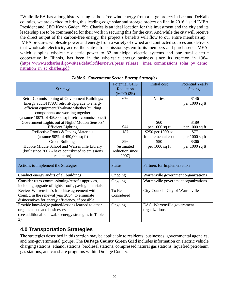"While IMEA has a long history using carbon-free wind energy from a large project in Lee and DeKalb counties, we are excited to bring this leading-edge solar and storage project on line in 2016," said IMEA President and CEO Kevin Gaden. "St. Charles is an ideal location for this investment and the city and its leadership are to be commended for their work in securing this for the city. And while the city will receive the direct output of the carbon-free energy, the project's benefits will flow to our entire membership." IMEA procures wholesale power and energy from a variety of owned and contracted sources and delivers that wholesale electricity across the state's transmission system to its members and purchasers. IMEA, which supplies wholesale electric power to 32 municipal electric systems and one rural electric cooperative in Illinois, has been in the wholesale energy business since its creation in 1984. [\(https://www.stcharlesil.gov/sites/default/files/news/press\\_release\\_\\_imea\\_commissions\\_solar\\_pv\\_demo](https://www.stcharlesil.gov/sites/default/files/news/press_release_-_imea_commissions_solar_pv_demonstration_in_st_charles.pdf) nstration in st charles.pdf)

| <b>Strategy</b>                                                                                                                                                                                                                       | <b>Potential GHG</b><br>Reduction<br>(MTCO2E) | <b>Initial</b> cost                          | <b>Potential Yearly</b><br><b>Savings</b> |
|---------------------------------------------------------------------------------------------------------------------------------------------------------------------------------------------------------------------------------------|-----------------------------------------------|----------------------------------------------|-------------------------------------------|
| Retro-Commissioning of Government Buildings:<br>Energy audit/HVAC retrofit/Upgrade to energy<br>efficient equipment/Evaluate whether building<br>components are working together<br>(assume 100% of 450,000 sq ft retro-commissioned) | 676                                           | Varies                                       | \$146<br>per 1000 sq ft                   |
| Government Lights out at Night/Motion Sensors/<br><b>Efficient Lighting</b>                                                                                                                                                           | 944                                           | \$60<br>per 1000 sq ft                       | \$189<br>per 1000 sq ft                   |
| Reflective Roofs & Paving Materials<br>(assume $50\%$ of $450,000$ sq ft)                                                                                                                                                             | 187                                           | \$250 per 1000 sq<br>ft incremental cost     | \$77<br>per 1000 sq ft                    |
| <b>Green Buildings</b><br>Hubble Middle School and Warrenville Library<br>(built since 2007 - have contributed to emissions<br>reduction)                                                                                             | 896<br>(estimated<br>reduction since<br>2007) | \$50<br>per 1000 sq ft                       | \$366<br>per 1000 sq ft                   |
| Actions to Implement the Strategies                                                                                                                                                                                                   | <b>Status</b>                                 | Partners for Implementation                  |                                           |
| Conduct energy audits of all buildings                                                                                                                                                                                                | Ongoing                                       | Warrenville government organizations         |                                           |
| Consider retro-commissioning/retrofit upgrades,<br>including upgrade of lights, roofs, paving materials                                                                                                                               | Ongoing                                       | Warrenville government organizations         |                                           |
| Review Warrenville's franchise agreement with<br>ComEd in the renewal year 2054, to eliminate<br>disincentives for energy efficiency, if possible.                                                                                    | To Be<br>Considered                           | City Council, City of Warrenville            |                                           |
| Provide knowledge gained/lessons learned to other<br>organizations and businesses                                                                                                                                                     | Ongoing                                       | EAC, Warrenville government<br>organizations |                                           |
| (see additional renewable energy strategies in Table<br>3)                                                                                                                                                                            |                                               |                                              |                                           |

#### *Table 5. Government Sector Energy Strategies*

## **4.0 Transportation Strategies**

The strategies described in this section may be applicable to residents, businesses, governmental agencies, and non-governmental groups. The **[DuPage County Green Grid](https://www.dupageco.org/GreenGrid/)** includes information on electric vehicle charging stations, ethanol stations, biodiesel stations, compressed natural gas stations, liquefied petroleum gas stations, and car share programs within DuPage County.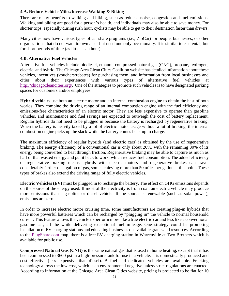#### **4.A. Reduce Vehicle Miles/Increase Walking & Biking**

There are many benefits to walking and biking, such as reduced noise, congestion and fuel emissions. Walking and biking are good for a person's health, and individuals may also be able to save money. For shorter trips, especially during rush hour, cyclists may be able to get to their destination faster than drivers.

Many cities now have various types of car share programs (i.e., ZipCar) for people, businesses, or other organizations that do not want to own a car but need one only occasionally. It is similar to car rental, but for short periods of time (as little as an hour).

#### **4.B. Alternative Fuel Vehicles**

Alternative fuel vehicles include biodiesel, ethanol, compressed natural gas (CNG), propane, hydrogen, electric, and hybrid. The Chicago Area Clean Cities Coalition website has detailed information about these vehicles, incentives (vouchers/rebates) for purchasing them, and information from local businesses and cities about their experiences with various types of alternative fuel vehicles at [http://chicagocleancities.org/.](http://chicagocleancities.org/) One of the strategies to promote such vehicles is to have designated parking spaces for customers and/or employees.

**Hybrid vehicles** use both an electric motor and an internal combustion engine to obtain the best of both worlds. They combine the driving range of an internal combustion engine with the fuel efficiency and emissions-free characteristics of an electric motor. They are less expensive to operate than gasoline vehicles, and maintenance and fuel savings are expected to outweigh the cost of battery replacement. Regular hybrids do not need to be plugged in because the battery is recharged by regenerative braking. When the battery is heavily taxed by a lot of electric motor usage without a lot of braking, the internal combustion engine picks up the slack while the battery comes back up to charge.

The maximum efficiency of regular hybrids (and electric cars) is obtained by the use of regenerative braking. The energy efficiency of a conventional car is only about 20%, with the remaining 80% of its energy being converted to heat through friction. Regenerative braking may be able to capture as much as half of that wasted energy and put it back to work, which reduces fuel consumption. The added efficiency of regenerative braking means hybrids with electric motors and regenerative brakes can travel considerably farther on a gallon of gas, some achieving more than 50 miles per gallon at this point. These types of brakes also extend the driving range of fully electric vehicles.

**Electric Vehicles (EV)** must be plugged in to recharge the battery. The effect on GHG emissions depends on the source of the energy used. If most of the electricity is from coal, an electric vehicle may produce more emissions than a gasoline or diesel vehicle. If the source is renewable (such as solar power), emissions are zero.

In order to increase electric motor cruising time, some manufacturers are creating plug-in [hybrids](http://alternativefuels.about.com/od/glossary/g/pluginhybrid.htm) that have more powerful batteries which can be recharged by "plugging in" the vehicle to normal household current. This feature allows the vehicle to perform more like a true [electric car](http://alternativefuels.about.com/od/electricity/f/electricity101.htm) and less like a conventional gasoline car, all the while delivering exceptional fuel mileage. One strategy could be promoting installation of EV charging stations and educating businesses on available grants and resources. According to the [PlugShare.com](http://www.plugshare.com/) map, there is a free EV charging station in Warrenville at Two Brothers which is available for public use.

**Compressed Natural Gas (CNG)** is the same natural gas that is used in home heating, except that it has been compressed to 3600 psi in a high-pressure tank for use in a vehicle. It is domestically produced and cost effective (less expensive than diesel). Bi-fuel and dedicated vehicles are available. Fracking technology allows the low cost, which is an environmental negative unless strict regulations are enacted. According to information at the Chicago Area Clean Cities website, pricing is projected to be flat for 10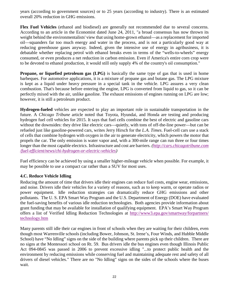years (according to government sources) or to 25 years (according to industry). There is an estimated overall 20% reduction in GHG emissions.

**Flex Fuel Vehicles** (ethanol and biodiesel) are generally not recommended due to several concerns. According to an article in the Economist dated June 24, 2011, "a broad consensus has now thrown its weight behind the environmentalists' view that using home-grown ethanol—as a replacement for imported oil—squanders far too much energy and water in the process, and is not a particularly good way at reducing greenhouse gases anyway. Indeed, given the intensive use of energy in agribusiness, it is debatable whether replacing petrol with ethanol breaks even in terms of the "wells-to-wheels" energy consumed, or even produces a net reduction in carbon emission. Even if America's entire corn crop were to be devoted to ethanol production, it would still only supply 4% of the country's oil consumption."

**Propane, or liquefied petroleum gas (LPG)** is basically the same type of gas that is used in home barbeques. For automotive applications, it is a mixture of propane gas and butane gas. The LPG mixture is kept as a liquid under heavy pressure in a special tank in the vehicle. LPG assures a very clean combustion. That's because before entering the engine, LPG is converted from liquid to gas, so it can be perfectly mixed with the air, unlike gasoline. The exhaust emissions of engines running on LPG are low; however, it is still a petroleum product.

**Hydrogen-fueled** vehicles are expected to play an important role in sustainable transportation in the future. A *Chicago Tribune* article noted that Toyota, Hyundai, and Honda are testing and producing hydrogen fuel cell vehicles for 2015. It says that fuel cells combine the best of electric and gasoline cars without the downsides: they drive like electric cars—quietly, with tons of off-the-line power—but can be refueled just like gasoline-powered cars, writes Jerry Hirsch for the *[L.A. Times](http://www.latimes.com/business/autos/la-fi-hy-toyota-fcv-fuel-cell-ces-20140106,0,884109.story#ixzz2pjQ6pJWg)*. Fuel-cell cars use a stack of cells that combine hydrogen with oxygen in the air to generate electricity, which powers the motor that propels the car. The only emission is water vapor and, with a 300-mile range can run three or four times longer than the most capable electrics. Infrastructure and cost are barriers. *[\(http://cars.chicagotribune.com](http://cars.chicagotribune.com/fuel-efficient/news/chi-hydrogen-or-electric-vehicles) [/fuel-efficient/news/chi-hydrogen-or-electric-vehicles\)](http://cars.chicagotribune.com/fuel-efficient/news/chi-hydrogen-or-electric-vehicles)*

Fuel efficiency can be achieved by using a smaller higher-mileage vehicle when possible. For example, it may be possible to use a compact car rather than a SUV for most uses.

#### **4.C. Reduce Vehicle Idling**

Reducing the amount of time that drivers idle their engines can reduce fuel costs, engine wear, emissions, and noise. Drivers idle their vehicles for a variety of reasons, such as to keep warm, or operate radios or power equipment. Idle reduction strategies can dramatically reduce GHG emissions and other pollutants. The U. S. EPA Smart Way Program and the U.S. Department of Energy (DOE) have evaluated the fuel-saving benefits of various idle reduction technologies. Both agencies provide information about grant funding that may be available for installation of qualifying equipment. EPA's Smart Way Program offers a list of Verified Idling Reduction Technologies at [http://www3.epa.gov/smartway/forpartners/](http://www3.epa.gov/smartway/forpartners/technology.htm) [technology.htm](http://www3.epa.gov/smartway/forpartners/technology.htm)

Many parents still idle their car engines in front of schools when they are waiting for their children, even though most Warrenville schools (including Bower, Johnson, St. Irene's, Four Winds, and Hubble Middle School) have "No Idling" signs on the side of the building where parents pick up their children. There are no signs at the Montessori school on Rt. 59. Bus drivers idle the bus engines even though Illinois Public Act 094-0845 was passed in 2006 to prevent excessive idling "...to protect public health and the environment by reducing emissions while conserving fuel and maintaining adequate rest and safety of all drivers of diesel vehicles." There are no "No Idling" signs on the sides of the schools where the buses wait.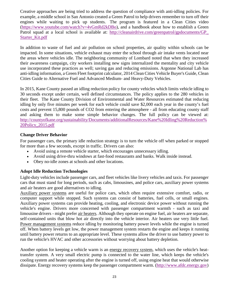Creative approaches are being tried to address the question of compliance with anti-idling policies. For example, a middle school in San Antonio created a Green Patrol to help drivers remember to turn off their engines while waiting to pick up students. The program is featured in a Clean Cities video [\(https://www.youtube.com/watch?v=4vGmRd2kDBo\)](https://www.youtube.com/watch?v=4vGmRd2kDBo), and a handbook about how to establish a Green Patrol squad at a local school is available at: [http://cleanairdrive.com/greenpatrol/gpdocuments/GP\\_](http://cleanairdrive.com/greenpatrol/gpdocuments/GP_Starter_Kit.pdf) [Starter\\_Kit.pdf](http://cleanairdrive.com/greenpatrol/gpdocuments/GP_Starter_Kit.pdf)

In addition to waste of fuel and air pollution on school properties, air quality within schools can be impacted. In some situations, vehicle exhaust may enter the school through air intake vents located near the areas where vehicles idle. The neighboring community of Lombard noted that when they increased their awareness campaign, city workers installing new signs internalized the mentality and city vehicle use incorporated these practices as well; saving gas and reducing emissions. Argonne National Lab has anti-idling information, a Green Fleet footprint calculator, 2014 Clean Cities Vehicle Buyer's Guide, Clean Cities Guide to Alternative Fuel and Advanced Medium- and Heavy-Duty Vehicles.

In 2015, Kane County passed an idling reduction policy for county vehicles which limits vehicle idling to 30 seconds except under certain, well defined circumstances. The policy applies to the 280 vehicles in their fleet. The Kane County Division of Environmental and Water Resources estimated that reducing idling by only five minutes per week for each vehicle could save \$2,000 each year in the county's fuel costs and prevent 15,800 pounds of CO2 from entering the atmosphere - all from educating county staff and asking them to make some simple behavior changes. The full policy can be viewed at: [http://countyofkane.org/sustainability/Documents/additionalResources/Kane%20Idling%20Reduction%](http://countyofkane.org/sustainability/Documents/additionalResources/Kane%20Idling%20Reduction%20Policy_2015.pdf) [20Policy\\_2015.pdf](http://countyofkane.org/sustainability/Documents/additionalResources/Kane%20Idling%20Reduction%20Policy_2015.pdf)

#### **Change Driver Behavior**

For passenger cars, the primary idle reduction strategy is to turn the vehicle off when parked or stopped for more than a few seconds, except in traffic. Drivers can also:

- Avoid using a remote vehicle starter, which encourages unnecessary idling.
- Avoid using drive-thru windows at fast-food restaurants and banks. Walk inside instead.
- Obey no-idle zones at schools and other locations.

#### **Adopt Idle Reduction Technologies**

Light-duty vehicles include passenger cars, and fleet vehicles like livery vehicles and taxis. For passenger cars that must stand for long periods, such as cabs, limousines, and police cars, auxiliary power systems and air heaters are good alternatives to idling.

Auxiliary power systems are useful for police cars, which often require extensive comfort, radio, or computer support while stopped. Such systems can consist of batteries, fuel cells, or small engines. Auxiliary power systems can provide heating, cooling, and electronic device power without running the vehicle's engine. Drivers more concerned with passenger compartment warmth - such as taxi and limousine drivers - might prefer air heaters. Although they operate on engine fuel, air heaters are separate, self-contained units that blow hot air directly into the vehicle interior. Air heaters use very little fuel. Power management systems reduce idling by monitoring battery power levels while the engine is turned off. When battery levels get low, the power management system restarts the engine and keeps it running until battery power returns to an appropriate level. These systems allow the driver to use battery power to run the vehicle's HVAC and other accessories without worrying about battery depletion.

Another option for keeping a vehicle warm is an energy recovery system, which uses the vehicle's heattransfer system. A very small electric pump is connected to the water line, which keeps the vehicle's cooling system and heater operating after the engine is turned off, using engine heat that would otherwise dissipate. Energy recovery systems keep the passenger compartment warm. [\(http://www.afdc.energy.gov\)](http://www.afdc.energy.gov/)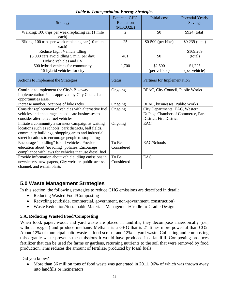| <b>Strategy</b>                                                                                                                                                                                                            | <b>Potential GHG</b><br>Reduction | <b>Initial</b> cost              | <b>Potential Yearly</b><br><b>Savings</b> |
|----------------------------------------------------------------------------------------------------------------------------------------------------------------------------------------------------------------------------|-----------------------------------|----------------------------------|-------------------------------------------|
|                                                                                                                                                                                                                            | (MTCO2E)                          |                                  |                                           |
| Walking: 100 trips per week replacing car (1 mile<br>each)                                                                                                                                                                 | 2                                 | \$0                              | \$924 (total)                             |
| Biking: 100 trips per week replacing car (10 miles)<br>each)                                                                                                                                                               | 25                                | \$0-500 (per bike)               | \$9,239 (total)                           |
| Reduce Light Vehicle Idling<br>(5,000 cars avoid idling 5 min. per day)                                                                                                                                                    | 461                               | \$0                              | \$169,269<br>(total)                      |
| Hybrid vehicles and EV<br>500 hybrid vehicles for community<br>15 hybrid vehicles for city                                                                                                                                 | 1,700                             | \$2,500<br>(per vehicle)         | \$1,225<br>(per vehicle)                  |
| Actions to Implement the Strategies                                                                                                                                                                                        | <b>Status</b>                     | Partners for Implementation      |                                           |
| Continue to implement the City's Bikeway<br>Implementation Plans approved by City Council as<br>opportunities arise.                                                                                                       | Ongoing                           | BPAC, City Council, Public Works |                                           |
| Increase number/locations of bike racks                                                                                                                                                                                    | Ongoing                           | BPAC, businesses, Public Works   |                                           |
| Consider replacement of vehicles with alternative fuel                                                                                                                                                                     | Ongoing                           | City Departments, EAC, Western   |                                           |
| vehicles and encourage and educate businesses to                                                                                                                                                                           |                                   | DuPage Chamber of Commerce, Park |                                           |
| consider alternative fuel vehicles                                                                                                                                                                                         |                                   | District, Fire District          |                                           |
| Initiate a community awareness campaign at waiting<br>locations such as schools, park districts, ball fields,<br>community buildings, shopping areas and industrial<br>street locations to encourage people to stop idling | Ongoing                           | EAC                              |                                           |
| Encourage "no idling" for all vehicles. Provide                                                                                                                                                                            | To Be                             | EAC/Schools                      |                                           |
| education about "no idling" policies. Encourage<br>compliance with laws for vehicles that use diesel fuel                                                                                                                  | Considered                        |                                  |                                           |
| Provide information about vehicle idling emissions in<br>newsletters, newspapers, City website, public access<br>channel, and e-mail blasts                                                                                | To Be<br>Considered               | EAC                              |                                           |

#### *Table 6. Transportation Energy Strategies*

## **5.0 Waste Management Strategies**

In this section, the following strategies to reduce GHG emissions are described in detail:

- Reducing Wasted Food/Composting
- Recycling (curbside, commercial, government, non-government, construction)
- Waste Reduction/Sustainable Materials Management/Cradle-to-Cradle Design

#### **5.A. Reducing Wasted Food/Composting**

When food, paper, wood, and yard waste are placed in landfills, they decompose anaerobically (i.e., without oxygen) and produce methane. Methane is a GHG that is 21 times more powerful than CO2. About 12% of municipal solid waste is food scraps, and 12% is yard waste. Collecting and composting this organic waste prevents the emissions it would have produced in a landfill. Composting produces fertilizer that can be used for farms or gardens, returning nutrients to the soil that were removed by food production. This reduces the amount of fertilizer produced by fossil fuels.

Did you know?

• More than 36 million tons of food waste was generated in 2011, 96% of which was thrown away into landfills or incinerators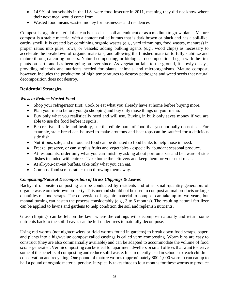- 14.9% of households in the U.S. were food insecure in 2011, meaning they did not know where their next meal would come from
- Wasted food means wasted money for businesses and residences

Compost is organic material that can be used as a soil amendment or as a medium to grow plants. Mature compost is a stable material with a content called humus that is dark brown or black and has a soil-like, earthy smell. It is created by: combining organic wastes (e.g., yard trimmings, food wastes, manures) in proper ratios into piles, rows, or vessels; adding bulking agents (e.g., wood chips) as necessary to accelerate the breakdown of organic materials; and allowing the finished material to fully stabilize and mature through a curing process. Natural composting, or biological decomposition, began with the first plants on earth and has been going on ever since. As vegetation falls to the ground, it slowly decays, providing minerals and nutrients needed for plants, animals, and microorganisms. Mature compost, however, includes the production of high temperatures to destroy pathogens and weed seeds that natural decomposition does not destroy.

#### **Residential Strategies**

#### *Ways to Reduce Wasted Food*

- Shop your refrigerator first! Cook or eat what you already have at home before buying more.
- Plan your menu before you go shopping and buy only those things on your menu.
- Buy only what you realistically need and will use. Buying in bulk only saves money if you are able to use the food before it spoils.
- Be creative! If safe and healthy, use the edible parts of food that you normally do not eat. For example, stale bread can be used to make croutons and beet tops can be sautéed for a delicious side dish.
- Nutritious, safe, and untouched food can be donated to food banks to help those in need.
- Freeze, preserve, or can surplus fruits and vegetables especially abundant seasonal produce.
- At restaurants, order only what you can finish by asking about portion sizes and be aware of side dishes included with entrees. Take home the leftovers and keep them for your next meal.
- At all-you-can-eat buffets, take only what you can eat.
- Compost food scraps rather than throwing them away.

#### *Composting/Natural Decomposition of Grass Clippings & Leaves*

[Backyard or onsite composting can be conducted by residents and other small-quantity generators of](http://www.epa.gov/waste/conserve/composting/types.htm#back)  [organic waste on their own property. This method should not be used to compost animal products or large](http://www.epa.gov/waste/conserve/composting/types.htm#back)  [quantities of food scraps. T](http://www.epa.gov/waste/conserve/composting/types.htm#back)he conversion of organic material to compost can take up to two years, but manual turning can hasten the process considerably (e.g., 3 to 6 months). The resulting natural fertilizer can be applied to lawns and gardens to help condition the soil and replenish nutrients.

Grass clippings can be left on the lawn where the cuttings will decompose naturally and return some nutrients back to the soil. Leaves can be left under trees to naturally decompose.

Using red worms (not nightcrawlers or field worms found in gardens) to break down food scraps, paper, and plants into a high-value compost called castings is called vermicomposting. Worm bins are easy to construct (they are also commercially available) and can be adapted to accommodate the volume of food scraps generated. Vermicomposting can be ideal for apartment dwellers or small offices that want to derive some of the benefits of composting and reduce solid waste. It is frequently used in schools to teach children conservation and recycling. One pound of mature worms (approximately 800-1,000 worms) can eat up to half a pound of organic material per day. It typically takes three to four months for these worms to produce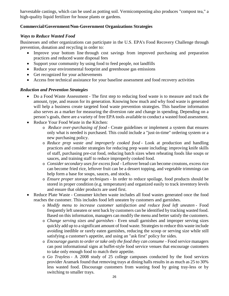harvestable castings, which can be used as potting soil. Vermicomposting also produces "compost tea," a high-quality liquid fertilizer for house plants or gardens.

#### **Commercial/Government/Non-Government Organizations Strategies**

#### *Ways to Reduce Wasted Food*

Businesses and other organizations can participate in the U.S. EPA's Food Recovery Challenge through prevention, donation and recycling in order to:

- Improve your bottom line through cost savings from improved purchasing and preparation practices and reduced waste disposal fees
- Support your community by using food to feed people, not landfills
- Reduce your environmental footprint and greenhouse gas emissions
- Get recognized for your achievements
- Access free technical assistance for your baseline assessment and food recovery activities

#### *Reduction and Prevention Strategies*

- Do a Food Waste Assessment The first step to reducing food waste is to measure and track the amount, type, and reason for its generation. Knowing how much and why food waste is generated will help a business create targeted food waste prevention strategies. This baseline information also serves as a marker for measuring the diversion rate and change in spending. Depending on a person's goals, there are a variety of [free EPA tools](http://www.epa.gov/waste/conserve/foodwaste/tools/index.htm) available to conduct a wasted food assessment.
- Reduce Your Food Waste in the Kitchen:
	- o *Reduce over-purchasing of food* Create guidelines or implement a system that ensures only what is needed is purchased. This could include a "just-in-time" ordering system or a new purchasing policy.
	- o *Reduce prep waste and improperly cooked food* Look at production and handling practices and consider strategies for reducing prep waste including: improving knife skills of staff, purchasing pre-cut food, reducing batch sizes when reheating foods like soups or sauces, and training staff to reduce improperly cooked food.
	- o *Consider secondary uses for excess food* Leftover bread can become croutons, excess rice can become fried rice, leftover fruit can be a dessert topping, and vegetable trimmings can help form a base for soups, sauces, and stocks.
	- o *Ensure proper storage techniques* In order to reduce spoilage, food products should be stored in proper condition (e.g. temperature) and organized easily to track inventory levels and ensure that older products are used first.
- Reduce Plate Waste Consumer kitchen waste includes all food wastes generated once the food reaches the customer. This includes food left uneaten by customers and garnishes.
	- o *Modify menu to increase customer satisfaction and reduce food left uneaten* Food frequently left uneaten or sent back by customers can be identified by tracking wasted food. Based on this information, managers can modify the menu and better satisfy the customers.
	- o *Change serving sizes and garnishes* Even small garnishes and improper serving sizes quickly add up to a significant amount of food waste. Strategies to reduce this waste include avoiding inedible or rarely eaten garnishes, reducing the scoop or serving size while still satisfying a customer's appetite, and using an "ask first" policy for sides.
	- o *Encourage guests to order or take only the food they can consume* Food service managers can post informational signs at buffet-style food service venues that encourage customers to take only enough food to match their appetite.
	- o *Go Trayless* A 2008 study of 25 college campuses conducted by the food services provider Aramark found that removing trays at dining halls results in as much as 25 to 30% less wasted food. Discourage customers from wasting food by going tray-less or by switching to smaller trays.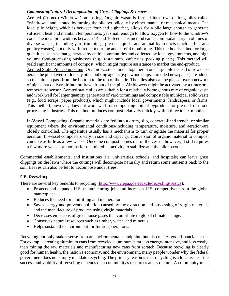#### *Composting/Natural Decomposition of Grass Clippings & Leaves*

Aerated (Turned) Windrow Composting: Organic waste is formed into rows of long piles called "windrows" and aerated by turning the pile periodically by either manual or mechanical means. The ideal pile height, which is between four and eight feet, allows for a pile large enough to generate sufficient heat and maintain temperatures, yet small enough to allow oxygen to flow to the windrow's core. The ideal pile width is between 14 and 16 feet. This method can accommodate large volumes of diverse wastes, including yard trimmings, grease, liquids, and animal byproducts (such as fish and poultry wastes), but only with frequent turning and careful monitoring. This method is suited for large quantities, such as that generated by entire communities and collected by local governments, and high volume food-processing businesses (e.g., restaurants, cafeterias, packing plants). This method will yield significant amounts of compost, which might require assistance to market the end-product.

Aerated Static Pile Composting: Organic waste is mixed together in one large pile instead of rows. To aerate the pile, layers of loosely piled bulking agents (e.g., wood chips, shredded newspaper) are added so that air can pass from the bottom to the top of the pile. The piles also can be placed over a network of pipes that deliver air into or draw air out of the pile. Air blowers might be activated by a timer or a temperature sensor. Aerated static piles are suitable for a relatively homogenous mix of organic waste and work well for larger quantity generators of yard trimmings and compostable municipal solid waste (e.g., food scraps, paper products), which might include local governments, landscapers, or farms. This method, however, does not work well for composting animal byproducts or grease from food processing industries. This method produces compost relatively quickly-within three to six months.

In-Vessel Composting: Organic materials are fed into a drum, silo, concrete-lined trench, or similar equipment where the environmental conditions-including temperature, moisture, and aeration-are closely controlled. The apparatus usually has a mechanism to turn or agitate the material for proper aeration. In-vessel composters vary in size and capacity. Conversion of organic material to compost can take as little as a few weeks. Once the compost comes out of the vessel, however, it still requires a few more weeks or months for the microbial activity to stabilize and the pile to cool.

Commercial establishments, and institutions (i.e. universities, schools, and hospitals) can leave grass clippings on the lawn where the cuttings will decompose naturally and return some nutrients back to the soil. Leaves can also be left to decompose under trees.

#### **5.B. Recycling**

There are several key benefits to recycling [\(http://www2.epa.gov/recycle/recycling-basics\)](http://www2.epa.gov/recycle/recycling-basics):

- Protects and expands U.S. manufacturing jobs and increases U.S. competitiveness in the global marketplace.
- Reduces the need for landfilling and incineration.
- Saves energy and prevents pollution caused by the extraction and processing of virgin materials and the manufacture of products using virgin materials.
- Decreases emissions of greenhouse gases that contribute to global climate change.
- Conserves natural resources such as timber, water, and minerals.
- Helps sustain the environment for future generations.

Recycling not only makes sense from an environmental standpoint, but also makes good financial sense. For example, creating aluminum cans from recycled aluminum is far less energy-intensive, and less costly, than mining the raw materials and manufacturing new cans from scratch. Because recycling is clearly good for human health, the nation's economy, and the environment, many people wonder why the federal government does not simply mandate recycling. The primary reason is that recycling is a local issue—the success and viability of recycling depends on a community's resources and structure. A community must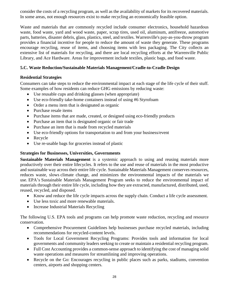consider the costs of a recycling program, as well as the availability of markets for its recovered materials. In some areas, not enough resources exist to make recycling an economically feasible option.

Waste and materials that are commonly recycled include [consumer electronics,](http://www.epa.gov/waste/conserve/materials/ecycling/index.htm) [household hazardous](http://www.epa.gov/waste/conserve/materials/hhw.htm)  [waste,](http://www.epa.gov/waste/conserve/materials/hhw.htm) [food waste,](http://www.epa.gov/waste/conserve/foodwaste/index.htm) [yard and wood waste,](http://www.epa.gov/waste/conserve/materials/yardwoodwaste.htm) [paper,](http://www.epa.gov/waste/conserve/materials/paper/index.htm) [scrap tires,](http://www.epa.gov/waste/conserve/materials/tires/index.htm) [used oil,](http://www.epa.gov/waste/conserve/materials/usedoil/index.htm) [aluminum,](http://www.epa.gov/waste/conserve/materials/alum.htm) [antifreeze,](http://www.epa.gov/waste/conserve/materials/antifree.htm) [automotive](http://www.epa.gov/waste/conserve/materials/auto.htm)  [parts,](http://www.epa.gov/waste/conserve/materials/auto.htm) [batteries,](http://www.epa.gov/waste/conserve/materials/battery.htm) [disaster debris,](http://www.epa.gov/waste/conserve/imr/cdm/debris.htm) [glass,](http://www.epa.gov/waste/conserve/materials/glass.htm) [plastics,](http://www.epa.gov/waste/conserve/materials/plastics.htm) [steel,](http://www.epa.gov/waste/conserve/materials/steel.htm) and [textiles.](http://www.epa.gov/waste/conserve/materials/textiles.htm) Warrenville's pay-as-you-throw program provides a financial incentive for people to reduce the amount of waste they generate. These programs encourage recycling, reuse of items, and choosing items with less packaging. The City collects an extensive list of materials for recycling, and there are local recycling efforts at the Warrenville Public Library, and Ace Hardware. Areas for improvement include textiles, plastic bags, and food waste.

#### **5.C. Waste Reduction/Sustainable Materials Management/Cradle-to-Cradle Design**

#### **Residential Strategies**

Consumers can take steps to reduce the environmental impact at each stage of the [life cycle of their](http://epa.gov/climatechange/climate-change-waste/life-cycle-diagram.html) stuff. Some examples of how residents can reduce GHG emissions by reducing waste:

- Use reusable cups and drinking glasses (when appropriate)
- Use eco-friendly take-home containers instead of using #6 Styrofoam
- Order a menu item that is designated as organic
- Purchase resale items
- Purchase items that are made, created, or designed using eco-friendly products
- Purchase an item that is designated organic or fair trade
- Purchase an item that is made from recycled materials
- Use eco-friendly options for transportation to and from your business/event
- Recycle
- Use re-usable bags for groceries instead of plastic

#### **Strategies for Businesses, Universities, Governments**

**Sustainable Materials Management** is a systemic approach to using and reusing materials more productively over their entire lifecycles. It refers to the use and reuse of materials in the most productive and sustainable way across their entire life cycle. Sustainable Materials Management conserves resources, reduces waste, slows [climate change,](http://epa.gov/climatechange/) and minimizes the environmental impacts of the materials we use. EPA's [Sustainable Materials Management Program](http://www.epa.gov/epawaste/conserve/smm/index.htm) seeks to reduce the environmental impact of materials through their entire life cycle, including how they are extracted, manufactured, distributed, used, reused, recycled, and disposed.

- Know and reduce the life cycle impacts across the supply chain. Conduct a [life cycle assessment.](http://www.epa.gov/nrmrl/std/lca/lca.html)
- Use [less toxic and more renewable materials.](http://www.epa.gov/dfe/)
- Increase [Industrial Materials Recycling](http://www.epa.gov/epawaste/conserve/imr/index.htm)

The following U.S. EPA tools and programs can help promote waste reduction, recycling and resource conservation.

- [Comprehensive Procurement Guidelines](http://www.epa.gov/epawaste/conserve/tools/cpg/index.htm) help businesses purchase recycled materials, including recommendations for recycled-content levels.
- [Tools for Local Government Recycling Programs:](http://www.epa.gov/epawaste/conserve/tools/localgov/index.htm) Provides tools and information for local governments and community leaders seeking to create or maintain a residential recycling program.
- [Full Cost Accounting p](http://www.epa.gov/epawaste/conserve/tools/fca/index.htm)rovides a common-sense approach to identifying the cost of managing solid waste operations and measures for streamlining and improving operations.
- [Recycle on the Go:](http://www.epa.gov/epawaste/conserve/tools/rogo/index.htm) Encourages recycling in public places such as parks, stadiums, convention centers, airports and shopping centers.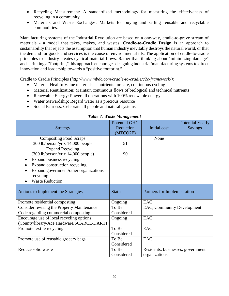- [Recycling Measurement:](http://www.epa.gov/epawaste/conserve/tools/recmeas/index.htm) A standardized methodology for measuring the effectiveness of recycling in a community.
- [Materials and Waste Exchanges:](http://www.epa.gov/epawaste/conserve/tools/exchange.htm) Markets for buying and selling reusable and recyclable commodities.

Manufacturing systems of the Industrial Revolution are based on a one-way, cradle-to-grave stream of materials - a model that takes, makes, and wastes. **Cradle-to-Cradle Design** is an approach to sustainability that rejects the assumption that human industry inevitably destroys the natural world, or that the demand for goods and services is the cause of environmental ills. The application of cradle-to-cradle principles to industry creates cyclical material flows. Rather than thinking about "minimizing damage" and shrinking a "footprint," this approach encourages designing industrial/manufacturing systems to direct innovation and leadership towards a "positive footprint."

Cradle to Cradle Principles (*[http://www.mbdc.com/cradle-to-cradle/c2c-framework/\)](http://www.mbdc.com/cradle-to-cradle/c2c-framework/)*:

- Material Health: Value materials as nutrients for safe, continuous cycling
- Material Reutilization: Maintain continuous flows of biological and technical nutrients
- Renewable Energy: Power all operations with 100% renewable energy
- Water Stewardship: Regard water as a precious resource
- Social Fairness: Celebrate all people and natural systems

| <b>Strategy</b>                                   | <b>Potential GHG</b><br>Reduction<br>(MTCO2E) | Initial cost                      | <b>Potential Yearly</b><br><b>Savings</b> |
|---------------------------------------------------|-----------------------------------------------|-----------------------------------|-------------------------------------------|
| <b>Composting Food Scraps</b>                     |                                               | None                              |                                           |
| 300 lb/person/yr x 14,000 people                  | 51                                            |                                   |                                           |
| <b>Expand Recycling</b>                           |                                               |                                   |                                           |
| $(300$ lb/person/yr x 14,000 people)              | 90                                            |                                   |                                           |
| Expand business recycling                         |                                               |                                   |                                           |
| Expand construction recycling                     |                                               |                                   |                                           |
| Expand government/other organizations             |                                               |                                   |                                           |
| recycling                                         |                                               |                                   |                                           |
| <b>Waste Reduction</b>                            |                                               |                                   |                                           |
| Actions to Implement the Strategies               | <b>Status</b>                                 | Partners for Implementation       |                                           |
| Promote residential composting                    | Ongoing                                       | <b>EAC</b>                        |                                           |
| <b>Consider revising the Property Maintenance</b> | To Be                                         | EAC, Community Development        |                                           |
| Code regarding commercial composting              | Considered                                    |                                   |                                           |
| Encourage use of local recycling options          | Ongoing                                       | <b>EAC</b>                        |                                           |
| (County/library/Ace Hardware/SCARCE/DART)         |                                               |                                   |                                           |
| Promote textile recycling                         | To Be                                         | EAC                               |                                           |
|                                                   | Considered                                    |                                   |                                           |
| Promote use of reusable grocery bags              | To Be                                         | <b>EAC</b>                        |                                           |
|                                                   | Considered                                    |                                   |                                           |
| Reduce solid waste                                | To Be                                         | Residents, businesses, government |                                           |
|                                                   | Considered                                    | organizations                     |                                           |

#### *Table 7. Waste Management*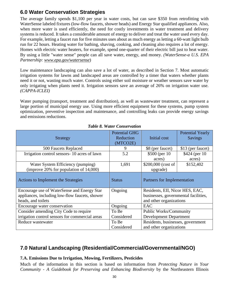# **6.0 Water Conservation Strategies**

The average family spends \$1,100 per year in water costs, but can save \$350 from retrofitting with WaterSense labeled fixtures (low-flow faucets, shower heads) and Energy Star qualified appliances. Also, when more water is used efficiently, the need for costly investments in water treatment and delivery systems is reduced. It takes a considerable amount of energy to deliver and treat the water used every day. For example, letting a faucet run for five minutes uses about as much energy as letting a 60-watt light bulb run for 22 hours. Heating water for bathing, shaving, cooking, and cleaning also requires a lot of energy. Homes with electric water heaters, for example, spend one-quarter of their electric bill just to heat water. By using a little "water sense" people can all save water, energy, and money. *(WaterSense-a U.S. EPA Partnership: www.epa.gov/watersense*)

Low maintenance landscaping can also save a lot of water, as described in Section 7. Most automatic irrigation systems for lawns and landscaped areas are controlled by a timer that waters whether plants need it or not, wasting much water. Controls using either soil moisture or weather sensors save water by only irrigating when plants need it. Irrigation sensors save an average of 26% on irrigation water use. *(CAPPA-ICLEI)*

Water pumping (transport, treatment and distribution), as well as wastewater treatment, can represent a large portion of municipal energy use. Using more efficient equipment for these systems, pump system optimization, preventive inspection and maintenance, and controlling leaks can provide energy savings and emissions reductions.

| <b>Strategy</b>                                                                                                     | <b>Potential GHG</b><br>Reduction<br>(MTCO2E) | Initial cost                                                                                       | <b>Potential Yearly</b><br><b>Savings</b> |
|---------------------------------------------------------------------------------------------------------------------|-----------------------------------------------|----------------------------------------------------------------------------------------------------|-------------------------------------------|
| 500 Faucets Replaced                                                                                                | 9                                             | \$8 (per faucet)                                                                                   | \$13 (per faucet)                         |
| Irrigation control sensors-10 acres of lawn                                                                         | 5.2                                           | \$500 (per 10)<br>acres)                                                                           | \$424 (per 10)<br>acres)                  |
| Water System Efficiency (pumping)<br>(improve $20\%$ for population of $14,000$ )                                   | 1,691                                         | \$200,000 (cost of<br>upgrade)                                                                     | \$152,402                                 |
| Actions to Implement the Strategies                                                                                 | <b>Status</b>                                 | Partners for Implementation                                                                        |                                           |
| Encourage use of WaterSense and Energy Star<br>appliances, including low-flow faucets, shower<br>heads, and toilets | Ongoing                                       | Residents, EII, Nicor HES, EAC,<br>businesses, governmental facilities,<br>and other organizations |                                           |
| Encourage water conservation                                                                                        | Ongoing                                       | EAC                                                                                                |                                           |
| Consider amending City Code to require                                                                              | To Be                                         | <b>Public Works/Community</b>                                                                      |                                           |
| irrigation control sensors for commercial areas                                                                     | Considered                                    | <b>Development Department</b>                                                                      |                                           |
| Reduce wastewater                                                                                                   | To Be                                         | Residents, businesses, government                                                                  |                                           |
|                                                                                                                     | Considered                                    | and other organizations                                                                            |                                           |

#### *Table 8. Water Conservation*

## **7.0 Natural Landscaping (Residential/Commercial/Governmental/NGO)**

#### **7.A. Emissions Due to Irrigation, Mowing, Fertilizers, Pesticides**

Much of the information in this section is based on information from *Protecting Nature in Your Community - A Guidebook for Preserving and Enhancing Biodiversity* by the Northeastern Illinois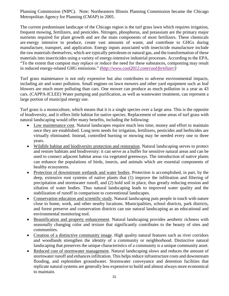Planning Commission (NIPC). Note: Northeastern Illinois Planning Commission became the Chicago Metropolitan Agency for Planning (CMAP) in 2005.

The current predominant landscape of the Chicago region is the turf grass lawn which requires irrigation, frequent mowing, fertilizers, and pesticides. Nitrogen, phosphorus, and potassium are the primary major nutrients required for plant growth and are the main components of most fertilizers. These chemicals are [energy intensive to produce,](http://faculty.washington.edu/slb/sally/biocycle%20carbon1%20%20copy.pdf) create vast amounts of waste, and contribute to GHGs during manufacture, transport, and application. Energy inputs associated with insecticide manufacture include the raw materials themselves, which are typically petroleum or natural gas, and the transformation of these materials into insecticides using a variety of energy-intensive industrial processes. [According to the EPA,](http://www.epa.gov/climatechange/wycd/waste/downloads/chapter4.pdf) "To the extent that compost may replace or reduce the need for these substances, composting may result in reduced energy-related GHG emissions." *[\(http://www.cool2012.com/cool/fertilizer/\)](http://www.cool2012.com/cool/fertilizer/)*

Turf grass maintenance is not only expensive but also contributes to adverse environmental impacts, including air and water pollution. Small engines on lawn mowers and other yard equipment such as leaf blowers are much more polluting than cars. One mower can produce as much pollution in a year as 43 cars. (CAPPA-ICLEE) Water pumping and purification, as well as wastewater treatment, can represent a large portion of municipal energy use.

Turf grass is a monoculture, which means that it is a single species over a large area. This is the opposite of biodiversity, and it offers little habitat for native species. Replacement of some areas of turf grass with natural landscaping would offer many benefits, including the following:

- Low maintenance cost. Natural landscapes require much less time, money and effort to maintain once they are established. Long term needs for irrigation, fertilizers, pesticides and herbicides are virtually eliminated. Instead, controlled burning or mowing may be needed every one to three years.
- Wildlife habitat and biodiversity protection and restoration. Natural landscaping serves to protect and restore habitats and biodiversity: it can serve as a buffer for sensitive natural areas and can be used to connect adjacent habitat areas via vegetated greenways. The introduction of native plants can enhance the populations of birds, insects, and animals which are essential components of healthy ecosystems.
- Protection of downstream wetlands and water bodies. Protection is accomplished, in part, by the deep, extensive root systems of native plants that (1) improve the infiltration and filtering of precipitation and stormwater runoff, and (2) hold soil in place, thus greatly reducing erosion and siltation of water bodies. Thus natural landscaping leads to improved water quality and the stabilization of runoff in comparison to conventional landscapes.
- Conservation education and scientific study. Natural landscaping puts people in touch with nature close to home, work, and other nearby locations. Municipalities, school districts, park districts, and forest preserve and conservation districts can use natural landscaping as an educational and environmental monitoring tool.
- Beautification and property enhancement. Natural landscaping provides aesthetic richness with seasonally changing color and texture that significantly contributes to the beauty of sites and communities.
- Creation of a distinctive community image. High quality natural features such as river corridors and woodlands strengthen the identity of a community or neighborhood. Distinctive natural landscaping that preserves the unique characteristics of a community is a unique community asset.
- Reduced cost of stormwater management. Natural landscaping slows and reduces the amount of stormwater runoff and enhances infiltration. This helps reduce infrastructure costs and downstream flooding, and replenishes groundwater. Stormwater conveyance and detention facilities that replicate natural systems are generally less expensive to build and almost always more economical to maintain.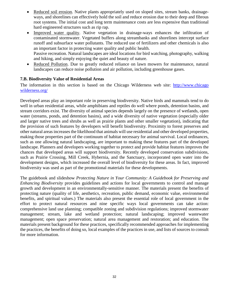- Reduced soil erosion. Native plants appropriately used on sloped sites, stream banks, drainageways, and shorelines can effectively hold the soil and reduce erosion due to their deep and fibrous root systems. The initial cost and long term maintenance costs are less expensive than traditional hard engineered structures such as rip rap.
- Improved water quality. Native vegetation in drainage-ways enhances the infiltration of contaminated stormwater. Vegetated buffers along streambanks and shorelines intercept surface runoff and subsurface water pollutants. The reduced use of fertilizers and other chemicals is also an important factor in protecting water quality and public health. Passive recreation. Natural landscapes are ideal locations for bird watching, photography, walking
	- and hiking, and simply enjoying the quiet and beauty of nature.
- Reduced Pollution. Due to greatly reduced reliance on lawn mowers for maintenance, natural landscapes can reduce noise pollution and air pollution, including greenhouse gases.

#### **7.B. Biodiversity Value of Residential Areas**

The information in this section is based on the Chicago Wilderness web site: http://www.chicago wilderness.org/

Developed areas play an important role in preserving biodiversity. Native birds and mammals tend to do well in urban residential areas, while amphibians and reptiles do well where ponds, detention basins, and stream corridors exist. The diversity of animal species depends largely on the presence of wetlands, open water (streams, ponds, and detention basins), and a wide diversity of native vegetation (especially older and larger native trees and shrubs as well as prairie plants and other smaller vegetation), indicating that the provision of such features by developers will benefit biodiversity. Proximity to forest preserves and other natural areas increasesthe likelihood that animals will use residential and other developed properties, making those properties part of the continuum of habitat necessary for animal survival. Local ordinances, such as one allowing natural landscaping, are important to making these features part of the developed landscape. Planners and developers working together to protect and provide habitat features improves the chances that developed areas will support biodiversity. Recently developed conservation subdivisions, such as Prairie Crossing, Mill Creek, Hybernia, and the Sanctuary, incorporated open water into the development designs, which increased the overall level of biodiversity for these areas. In fact, improved biodiversity was used as part of the promotional materials for these developments.

The guidebook and slideshow *Protecting Nature in Your Community: A Guidebook for Preserving and Enhancing Biodiversity* provides guidelines and actions for local governments to control and manage growth and development in an environmentally-sensitive manner. The materials present the benefits of protecting nature (quality of life, aesthetics, recreation, public demand, economic value, environmental benefits, and spiritual values.) The materials also present the essential role of local government in the effort to protect natural resources and nine specific ways local governments can take action: comprehensive land use planning; compatible zoning and subdivision regulations; improved stormwater management; stream, lake and wetland protection; natural landscaping; improved wastewater management; open space preservation; natural area management and restoration; and education. The materials present background for these practices, specifically recommended approaches for implementing the practices, the benefits of doing so, local examples of the practices in use, and lists of sources to consult for more information.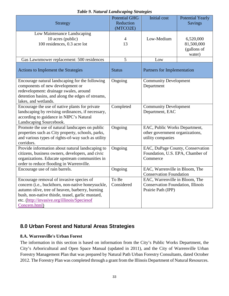| <b>Strategy</b>                                                                                                                                                                                                                                                        | <b>Potential GHG</b><br>Reduction<br>(MTCO2E) | <b>Initial</b> cost                                                                              | <b>Potential Yearly</b><br><b>Savings</b>        |
|------------------------------------------------------------------------------------------------------------------------------------------------------------------------------------------------------------------------------------------------------------------------|-----------------------------------------------|--------------------------------------------------------------------------------------------------|--------------------------------------------------|
| Low Maintenance Landscaping<br>10 acres (public)<br>100 residences, 0.3 acre lot                                                                                                                                                                                       | 4<br>13                                       | Low-Medium                                                                                       | 6,520,000<br>81,500,000<br>(gallons of<br>water) |
| Gas Lawnmower replacement: 500 residences                                                                                                                                                                                                                              | 5                                             | Low                                                                                              |                                                  |
| Actions to Implement the Strategies                                                                                                                                                                                                                                    | <b>Status</b>                                 | Partners for Implementation                                                                      |                                                  |
| Encourage natural landscaping for the following<br>components of new development or<br>redevelopment: drainage swales, around<br>detention basins, and along the edges of streams,<br>lakes, and wetlands.                                                             | Ongoing                                       | <b>Community Development</b><br>Department                                                       |                                                  |
| Encourage the use of native plants for private<br>landscaping by revising ordinances, if necessary,<br>according to guidance in NIPC's Natural<br>Landscaping Sourcebook.                                                                                              | Completed                                     | <b>Community Development</b><br>Department, EAC                                                  |                                                  |
| Promote the use of natural landscapes on public<br>properties such as City property, schools, parks,<br>and various types of rights-of-way such as utility<br>corridors.                                                                                               | Ongoing                                       | EAC, Public Works Department,<br>other government organizations,<br>utility companies            |                                                  |
| Provide information about natural landscaping to<br>citizens, business owners, developers, and civic<br>organizations. Educate upstream communities in<br>order to reduce flooding in Warrenville.                                                                     | Ongoing                                       | EAC, DuPage County, Conservation<br>Foundation, U.S. EPA, Chamber of<br>Commerce                 |                                                  |
| Encourage use of rain barrels.                                                                                                                                                                                                                                         | Ongoing                                       | EAC, Warrenville in Bloom, The<br><b>Conservation Foundation</b>                                 |                                                  |
| Encourage removal of invasive species of<br>concern (i.e., buckthorn, non-native honeysuckle,<br>autumn olive, tree of heaven, barberry, burning<br>bush, non-native thistle, teasel, garlic mustard,<br>etc. (http://invasive.org/illinois/Speciesof<br>Concern.html) | To Be<br>Considered                           | EAC, Warrenville in Bloom, The<br><b>Conservation Foundation, Illinois</b><br>Prairie Path (IPP) |                                                  |

#### *Table 9. Natural Landscaping Strategies*

## **8.0 Urban Forest and Natural Areas Strategies**

#### **8.A. Warrenville's Urban Forest**

The information in this section is based on information from the City's Public Works Department, the City's Arboricultural and Open Space Manual (updated in 2011), and the City of Warrenville Urban Forestry Management Plan that was prepared by Natural Path Urban Forestry Consultants, dated October 2012. The Forestry Plan was completed through a grant from the Illinois Department of Natural Resources.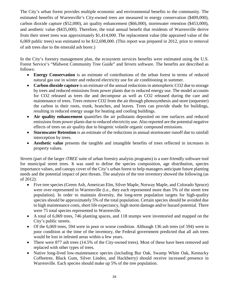The City's urban forest provides multiple economic and environmental benefits to the community. The estimated benefits of Warrenville's City-owned trees are measured in energy conservation (\$409,000), carbon dioxide capture (\$52,000), air quality enhancement (\$66,000), stormwater retention (\$453,000), and aesthetic value (\$435,000). Therefore, the total annual benefit that residents of Warrenville derive from their street trees was approximately \$1,414,000. The replacement value (the appraised value of the 6,069 public trees) was estimated to be \$12,698,000. (This report was prepared in 2012, prior to removal of ash trees due to the emerald ash borer.)

In the City's forestry management plan, the ecosystem services benefits were estimated using the U.S. Forest Service's "Midwest Community Tree Guide" and *Streets* software. The benefits are described as follows:

- **Energy Conservation** is an estimate of contributions of the urban forest in terms of reduced natural gas use in winter and reduced electricity use for air conditioning in summer.
- **Carbon dioxide capture** is an estimate of the annual reductions in atmospheric CO2 due to storage by trees and reduced emissions from power plants due to reduced energy use. The model accounts for CO2 released as trees die and decompose as well as CO2 released during the care and maintenance of trees. Trees remove CO2 from the air through photosynthesis and store (sequester) the carbon in their roots, trunk, branches, and leaves. Trees can provide shade for buildings, resulting in reduced energy usage for heating and cooling buildings.
- **Air quality enhancement** quantifies the air pollutants deposited on tree surfaces and reduced emissions from power plants due to reduced electricity use. Also reported are the potential negative effects of trees on air quality due to biogenic volatile organic compound emissions.
- **Stormwater Retention** is an estimate of the reductions in annual stormwater runoff due to rainfall interception by trees.
- **Aesthetic value** presents the tangible and intangible benefits of trees reflected in increases in property values.

*Streets* (part of the larger *iTREE* suite of urban forestry analysis programs) is a user-friendly software tool for municipal street trees. It was used to define the species composition, age distribution, species importance values, and canopy cover of the City's urban forest to help managers anticipate future planting needs and the potential impact of pest threats. The analysis of the tree inventory showed the following (as of 2012):

- Five tree species (Green Ash, American Elm, Silver Maple, Norway Maple, and Colorado Spruce) were over-represented in Warrenville (i.e., they each represented more than 5% of the street tree population). In order to maintain diversity, the long-term population targets for high-quality species should be approximately 5% of the total population. Certain species should be avoided due to high maintenance costs, short life expectancy, high storm damage and/or hazard potential. There were 75 total species represented in Warrenville.
- A total of 6,069 trees, 746 planting spaces, and 118 stumps were inventoried and mapped on the City's public streets.
- Of the 6,069 trees, 594 were in poor or worse condition. Although 136 ash trees (of 594) were in poor condition at the time of the inventory, the Federal government predicted that all ash trees would be lost in infested areas within a few years.
- There were 877 ash trees (14.5% of the City-owned trees). Most of these have been removed and replaced with other types of trees.
- Native long-lived low-maintenance species (including Bur Oak, Swamp White Oak, Kentucky Coffeetree, Black Gum, Silver Linden, and Hackberry) should receive increased presence in Warrenville. Each species should make up 5% of the tree population.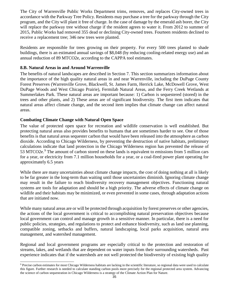The City of Warrenville Public Works Department trims, removes, and replaces City-owned trees in accordance with the Parkway Tree Policy. Residents may purchase a tree for the parkway through the City program, and the City will plant it free of charge. In the case of damage by the emerald ash borer, the City will replace the parkway tree without charge if the resident agrees to water it. From 2012 to summer of 2015, Public Works had removed 355 dead or declining City-owned trees. Fourteen residents declined to receive a replacement tree; 346 new trees were planted.

Residents are responsible for trees growing on their property. For every 500 trees planted to shade buildings, there is an estimated annual savings of \$8,048 (by reducing cooling-related energy use) and an annual reduction of 89 MTCO2e, according to the CAPPA tool estimates.

#### **8.B. Natural Areas in and Around Warrenville**

The benefits of natural landscapes are described in Section 7. This section summarizes information about the importance of the high quality natural areas in and near Warrenville, including the DuPage County Forest Preserves (Warrenville Grove, Blackwell, St. James Farm, Herrick Lake, McDowell Grove, West DuPage Woods and West Chicago Prairie), Fermilab Natural Areas, and the Ferry Creek Wetlands at Summerlakes Park. These natural areas are important because: 1) Carbon is sequestered (stored) in the trees and other plants, and 2) These areas are of significant biodiversity. The first item indicates that natural areas affect climate change, and the second item implies that climate change can affect natural areas.

#### **Combating Climate Change with Natural Open Space**

 $\overline{a}$ 

The value of protected open space for recreation and wildlife conservation is well established. But protecting natural areas also provides benefits to humans that are sometimes harder to see. One of those benefits is that natural areas sequester carbon that would have been released into the atmosphere as carbon dioxide. According to Chicago Wilderness, by preventing the destruction of native habitats, preliminary calculations indicate that land protection in the Chicago Wilderness region has prevented the release of 53 MTCO2e.<sup>[9](#page-40-0)</sup> The amount of carbon stored on these lands is equivalent to emissions from 5 million cars for a year, or electricity from 7.1 million households for a year, or a coal-fired power plant operating for approximately 6.5 years

While there are many uncertainties about climate change impacts, the cost of doing nothing at all is likely to be far greater in the long-term than waiting until those uncertainties diminish. Ignoring climate change may result in the failure to reach biodiversity recovery management objectives. Functioning natural systems are tools for adaptation and should be a high priority. The adverse effects of climate change on wildlife and their habitats may be minimized, or even prevented in some cases, through adaptation actions that are initiated now.

While many natural areas are or will be protected through acquisition by forest preserves or other agencies, the actions of the local government is critical to accomplishing natural preservation objectives because local government can control and manage growth in a sensitive manner. In particular, there is a need for public policies, strategies, and regulations to protect and enhance biodiversity, such as land use planning, compatible zoning, setbacks and buffers, natural landscaping, local parks acquisition, natural area management, and watershed management.

Regional and local government programs are especially critical to the protection and restoration of streams, lakes, and wetlands that are dependent on water inputs from their surrounding watersheds. Past experience indicates that if the watersheds are not well protected the biodiversity of existing high quality

<span id="page-40-0"></span><sup>9</sup> Precise carbon estimates for most Chicago Wilderness habitats are lacking in the scientific literature, so regional data were used to calculate this figure. Further research is needed to calculate standing carbon pools more precisely for the regional protected area system. Advancing the science of carbon sequestration in Chicago Wilderness is a strategy of the Climate Action Plan for Nature.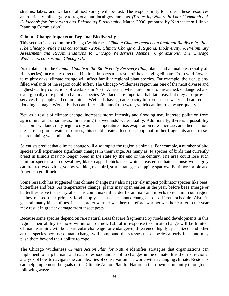streams, lakes, and wetlands almost surely will be lost. The responsibility to protect these resources appropriately falls largely to regional and local governments. *(Protecting Nature in Your Community: A Guidebook for Preserving and Enhancing Biodiversity*, March 2000, prepared by Northeastern Illinois Planning Commission)

#### **Climate Change Impacts on Regional Biodiversity**

This section is based on the Chicago Wilderness *Climate Change Impacts on Regional Biodiversity Plan (The Chicago Wilderness consortium - 2008. Climate Change and Regional Biodiversity: A Preliminary Assessment and Recommendations to Chicago Wilderness Member Organizations. The Chicago Wilderness consortium, Chicago IL.)*

As explained in the *Climate Update to the Biodiversity Recovery Plan*, plants and animals (especially atrisk species) face many direct and indirect impacts as a result of the changing climate. From wild flowers to mighty oaks, climate change will affect familiar regional plant species. For example, the rich, plantfilled wetlands of the region could suffer. The Chicago Wilderness region has one of the most diverse and highest quality collections of wetlands in North America, which are home to threatened, endangered and even globally rare plant and animal species. Wetlands are important habitat areas, but they also provide services for people and communities. Wetlands have great capacity to store excess water and can reduce flooding damage. Wetlands also can filter pollutants from water, which can improve water quality.

Yet, as a result of climate change, increased storm intensity and flooding may increase pollution from agricultural and urban areas, threatening the wetlands' water quality. Additionally, there is a possibility that some wetlands may begin to dry out as temperatures rise, evaporation rates increase, and there is more pressure on groundwater resources; this could create a feedback loop that further fragments and stresses the remaining wetland habitats.

Scientists predict that climate change will also impact the region's animals. For example, a number of bird species will experience significant changes in their range. As many as 44 species of birds that currently breed in Illinois may no longer breed in the state by the end of the century. The area could lose such familiar species as tree swallow, black-capped chickadee, white breasted nuthatch, house wren, gray catbird, red-eyed vireo, yellow warbler, ovenbird, scarlet tanager, chipping sparrow, Baltimore oriole and American goldfinch.

Some research has suggested that climate change may also negatively impact pollinator species like bees, butterflies and bats. As temperatures change, plants may open earlier in the year, before bees emerge or butterflies leave their chrysalis. This could make it harder for animals and insects to remain in our region if they missed their primary food supply because the plants changed to a different schedule. Also, in general, many kinds of pest insects prefer warmer weather; therefore, warmer weather earlier in the year may result in greater damage from insect pests.

Because some species depend on rare natural areas that are fragmented by roads and developments in this region, their ability to move within or to a new habitat in response to climate change will be limited. Climate warming will be a particular challenge for endangered, threatened, highly specialized, and other at-risk species because climate change will compound the stresses these species already face, and may push them beyond their ability to cope.

The Chicago Wilderness *[Climate Action Plan for Nature](http://www.chicagowilderness.org/index.php/what-we-do/climate-action/)* identifies strategies that organizations can implement to help humans and nature respond and adapt to changes in the climate. It is the first regional analysis of how to navigate the complexities of conservation in a world with a changing climate. Residents can help implement the goals of the Climate Action Plan for Nature in their own community through the following ways: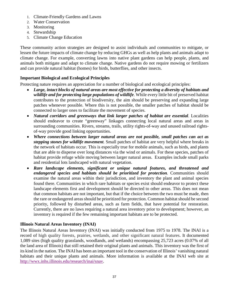- 1. Climate-Friendly Gardens and Lawns
- 2. Water Conservation
- 3. Monitoring
- 4. Stewardship
- 5. Climate Change Education

These community action strategies are designed to assist individuals and communities to mitigate, or lessen the future impacts of climate change by reducing GHGs as well as help plants and animals adapt to climate change. For example, converting lawns into native plant gardens can help people, plants, and animals both mitigate and adapt to climate change. Native gardens do not require mowing or fertilizers and can provide natural habitat (homes) for birds, butterflies, and other insects.

### **Important Biological and Ecological Principles**

Protecting nature requires an appreciation for a number of biological and ecological principles:

- *Large, intact blocks of natural areas are most effective for protecting a diversity of habitats and wildlife and for protecting large populations of wildlife*. While every little bit of preserved habitat contributes to the protection of biodiversity, the aim should be preserving and expanding large patches whenever possible. Where this is not possible, the smaller patches of habitat should be connected to larger ones to facilitate the movement of species.
- *Natural corridors and greenways that link larger patches of habitat are essential*. Localities should endeavor to create "greenway" linkages connecting local natural areas and areas in surrounding communities. Rivers, streams, trails, utility rights-of-way and unused railroad rightsof-way provide good linking opportunities.
- *Where connections between larger natural areas are not possible, small patches can act as stepping stones for wildlife movement.* Small patches of habitat are very helpful where breaks in the network of habitats occur. This is especially true for mobile animals, such as birds, and plants that are able to disperse over long distances via the wind or animals. For these species, patches of habitat provide refuge while moving between larger natural areas. Examples include small parks and residential lots landscaped with natural vegetation.
- *Rare landscape elements, significant or unique natural features, and threatened and endangered species and habitats should be prioritized for protection.* Communities should examine the natural areas within their jurisdiction, and inventory the plant and animal species found there. Communities in which rare habitats or species exist should endeavor to protect these landscape elements first and development should be directed to other areas. This does not mean that common habitats are not important, but that if the choice between the two must be made, then the rare or endangered areas should be prioritized for protection. Common habitat should be second priority, followed by disturbed areas, such as farm fields, that have potential for restoration. Currently, there are no laws requiring a natural area inventory prior to development; however, an inventory is required if the few remaining important habitats are to be protected.

#### **Illinois Natural Areas Inventory (INAI)**

The Illinois Natural Areas Inventory (INAI) was initially conducted from 1975 to 1978. The INAI is a record of high quality forests, prairies, wetlands, and other significant natural features. It documented 1,089 sites (high quality grasslands, woodlands, and wetlands) encompassing 25,723 acres (0.07% of all the land area of Illinois) that still retained their original plants and animals. This inventory was the first of its kind in the nation. The INAI has been an important tool in the conservation of Illinois' vanishing natural habitats and their unique plants and animals. More information is available at the INAI web site at [http://wwx.inhs.illinois.edu/research/inai/snav.](http://wwx.inhs.illinois.edu/research/inai/snav)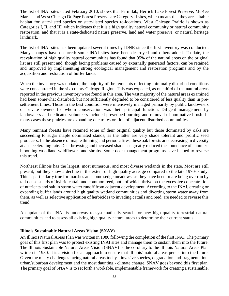The list of INAI sites dated February 2010, shows that Fermilab, Herrick Lake Forest Preserve, McKee Marsh, and West Chicago DuPage Forest Preserve are Category II sites, which means that they are suitable habitat for state-listed species or state-listed species re-locations. West Chicago Prairie is shown as Categories I, II, and III, which indicates that it is a high quality natural community or natural community restoration, and that it is a state-dedicated nature preserve, land and water preserve, or natural heritage landmark.

The list of INAI sites has been updated several times by IDNR since the first inventory was conducted. Many changes have occurred: some INAI sites have been destroyed and others added. To date, the reevaluation of high quality natural communities has found that 95% of the natural areas on the original list are still present and, though facing problems caused by externally generated factors, can be retained and improved by implementing strong ecological management and restoration programs and by the acquisition and restoration of buffer lands.

When the inventory was updated, the majority of the remnants reflecting minimally disturbed conditions were concentrated in the six-county Chicago Region. This was expected, as one third of the natural areas reported in the previous inventory were found in this area. The vast majority of the natural areas examined had been somewhat disturbed, but not sufficiently degraded to be considered of less quality than in presettlement times. Those in the best condition were intensively managed primarily by public landowners or private owners for whom conservation was their principal function. Diligent management by landowners and dedicated volunteers included prescribed burning and removal of non-native brush. In many cases these prairies are expanding due to restoration of adjacent disturbed communities.

Many remnant forests have retained some of their original quality but those dominated by oaks are succeeding to sugar maple dominated stands, as the latter are very shade tolerant and prolific seed producers. In the absence of maple thinning and periodic fires, these oak forests are decreasing in diversity at an accelerating rate. Deer browsing and increased shade has greatly reduced the abundance of summerblooming woodland wildflowers and shrubs. Some deer management programs have helped to reverse this trend.

Northeast Illinois has the largest, most numerous, and most diverse wetlands in the state. Most are still present, but they show a decline in the extent of high quality acreage compared to the late 1970s study. This is particularly true for marshes and some sedge meadows, as they have been or are being overrun by tall dense stands of hybrid cattail and common reed, both of which thrive on the excessive concentration of nutrients and salt in storm water runoff from adjacent development. According to the INAI, creating or expanding buffer lands around high quality wetland communities and diverting storm water away from them, as well as selective application of herbicides to invading cattails and reed, are needed to reverse this trend.

An update of the INAI is underway to systematically search for new high quality terrestrial natural communities and to assess all existing high quality natural areas to determine their current status.

#### **Illinois Sustainable Natural Areas Vision (SNAV)**

An Illinois Natural Areas Plan was written in 1980 following the completion of the first INAI. The primary goal of this first plan was to protect existing INAI sites and manage them to sustain them into the future. The Illinois Sustainable Natural Areas Vision (SNAV) is the corollary to the Illinois Natural Areas Plan written in 1980. It is a vision for an approach to ensure that Illinois' natural areas persist into the future. Given the many challenges facing natural areas today - invasive species, degradation and fragmentation, urban/suburban development and the most daunting - climate change, SNAV goes beyond this first plan. The primary goal of SNAV is to set forth a workable, implementable framework for creating a sustainable,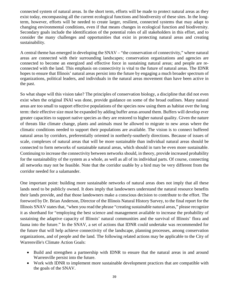connected system of natural areas. In the short term, efforts will be made to protect natural areas as they exist today, encompassing all the current ecological functions and biodiversity of these sites. In the longterm, however, efforts will be needed to create larger, resilient, connected systems that may adapt to changing environmental conditions, even if that means changes in ecological function and biodiversity. Secondary goals include the identification of the potential roles of all stakeholders in this effort, and to consider the many challenges and opportunities that exist in protecting natural areas and creating sustainability.

A central theme has emerged in developing the SNAV – "the conservation of connectivity," where natural areas are connected with their surrounding landscapes; conservation organizations and agencies are connected to become an energized and effective force in sustaining natural areas; and people are reconnected with the land. This emphasis on connectivity is vital to the future of natural areas. The IDNR hopes to ensure that Illinois' natural areas persist into the future by engaging a much broader spectrum of organizations, political leaders, and individuals in the natural areas movement than have been active in the past.

So what shape will this vision take? The principles of conservation biology, a discipline that did not even exist when the original INAI was done, provide guidance on some of the broad outlines. Many natural areas are too small to support effective populations of the species now using them as habitat over the long term: their effective size must be expanded by adding buffer areas around them. Buffers will develop ever greater capacities to support native species as they are restored to higher natural quality. Given the nature of threats like climate change, plants and animals must be allowed to migrate to new areas where the climatic conditions needed to support their populations are available. The vision is to connect buffered natural areas by corridors, preferentially oriented in northerly-southerly directions. Because of issues of scale, complexes of natural areas that will be more sustainable than individual natural areas should be connected to form networks of sustainable natural areas, which should in turn be even more sustainable. Continuing to increase the connectivity between networks should, in theory, provide increased probability for the sustainability of the system as a whole, as well as all of its individual parts. Of course, connecting all networks may not be feasible. Note that the corridor usable by a bird may be very different from the corridor needed for a salamander.

One important point: building more sustainable networks of natural areas does not imply that all these lands need to be publicly owned. It does imply that landowners understand the natural resource benefits their lands provide, and that those landowners make a conscious decision to contribute to the effort. The foreword by Dr. Brian Anderson, Director of the Illinois Natural History Survey, to th[e final report](http://www.inhs.illinois.edu/research/inai/SNAV_Final.pdf) for the Illinois SNAV states that, "when you read the phrase "creating sustainable natural areas," please recognize it as shorthand for "employing the best science and management available to increase the probability of sustaining the adaptive capacity of Illinois' natural communities and the survival of Illinois' flora and fauna into the future." In the SNAV, a set of actions that IDNR could undertake was recommended for the future that will help achieve connectivity of the landscape, planning processes, among conservation organizations, and of people and the land. The following related actions may be applicable to the City of Warrenville's Climate Action Goals:

- Build and strengthen a partnership with IDNR to ensure that the natural areas in and around Warrenville persist into the future.
- Work with IDNR to implement more sustainable development practices that are compatible with the goals of the SNAV.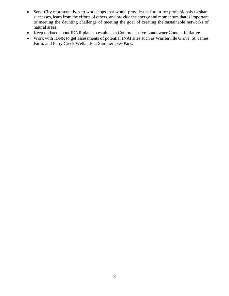- Send City representatives to workshops that would provide the forum for professionals to share successes, learn from the efforts of others, and provide the energy and momentum that is important to meeting the daunting challenge of meeting the goal of creating the sustainable networks of natural areas.
- Keep updated about IDNR plans to establish a Comprehensive Landowner Contact Initiative.
- Work with IDNR to get assessments of potential INAI sites such as Warrenville Grove, St. James Farm, and Ferry Creek Wetlands at Summerlakes Park.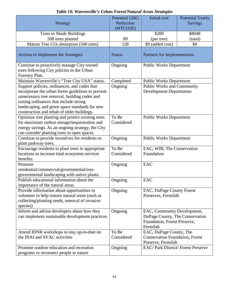| <b>Strategy</b>                                                                                                                                                                                                                                                                             | <b>Potential GHG</b><br>Reduction | <b>Initial</b> cost                                                                                        | <b>Potential Yearly</b><br><b>Savings</b> |
|---------------------------------------------------------------------------------------------------------------------------------------------------------------------------------------------------------------------------------------------------------------------------------------------|-----------------------------------|------------------------------------------------------------------------------------------------------------|-------------------------------------------|
|                                                                                                                                                                                                                                                                                             | (MTCO2E)                          |                                                                                                            |                                           |
| Trees to Shade Buildings                                                                                                                                                                                                                                                                    |                                   | \$200                                                                                                      | \$8048                                    |
| 500 trees planted                                                                                                                                                                                                                                                                           | 89                                | (per tree)                                                                                                 | (total)                                   |
| Mature Tree CO <sub>2</sub> absorption (500 trees)                                                                                                                                                                                                                                          | 128                               | \$0 (added cost)                                                                                           | \$0                                       |
| Actions to Implement the Strategies                                                                                                                                                                                                                                                         | <b>Status</b>                     | Partners for Implementation                                                                                |                                           |
| Continue to proactively manage City-owned<br>trees following City policies in the Urban<br>Forestry Plan.                                                                                                                                                                                   | Ongoing                           | <b>Public Works Department</b>                                                                             |                                           |
| Maintain Warrenville's "Tree City USA" status.                                                                                                                                                                                                                                              | Completed                         | <b>Public Works Department</b>                                                                             |                                           |
| Support policies, ordinances, and codes that<br>incorporate the urban forest guidelines to prevent<br>unnecessary tree removal, building codes and<br>zoning ordinances that include strong<br>landscaping, and green space standards for new<br>construction and rehab of older buildings. | Ongoing                           | Public Works and Community<br><b>Development Departments</b>                                               |                                           |
| Optimize tree planting and protect existing trees<br>for maximum carbon storage/sequestration and<br>energy savings. As an ongoing strategy, the City<br>can consider planting trees in open spaces.                                                                                        | To Be<br>Considered               | <b>Public Works Department</b>                                                                             |                                           |
| Continue to provide incentives for residents to<br>plant parkway trees.                                                                                                                                                                                                                     | Ongoing                           | <b>Public Works Department</b>                                                                             |                                           |
| Encourage residents to plant trees in appropriate<br>locations to increase total ecosystem services<br>benefits.                                                                                                                                                                            | To Be<br>Considered               | EAC; WIB; The Conservation<br>Foundation                                                                   |                                           |
| Promote<br>residential/commercial/governmental/non-<br>governmental landscaping with native plants.                                                                                                                                                                                         | Ongoing                           | EAC                                                                                                        |                                           |
| Publish educational information about the<br>importance of the natural areas.                                                                                                                                                                                                               | Ongoing                           | <b>EAC</b>                                                                                                 |                                           |
| Provide information about opportunities to<br>volunteer to help restore natural areas (such as<br>collecting/planting seeds, removal of invasive<br>species)                                                                                                                                | Ongoing                           | EAC, DuPage County Forest<br>Preserves, Fermilab                                                           |                                           |
| Inform and advise developers about how they<br>can implement sustainable development practices                                                                                                                                                                                              | Ongoing                           | EAC, Community Development,<br>DuPage County, The Conservation<br>Foundation, Forest Preserve,<br>Fermilab |                                           |
| Attend IDNR workshops to stay up-to-date on<br>the INAI and SVAC activities                                                                                                                                                                                                                 | To Be<br>Considered               | EAC, DuPage County, The<br><b>Conservation Foundation, Forest</b><br>Preserve, Fermilab                    |                                           |
| Promote outdoor education and recreation<br>programs to reconnect people to nature                                                                                                                                                                                                          | Ongoing                           | EAC/ Park District/ Forest Preserve                                                                        |                                           |

## *Table 10. Warrenville's Urban Forest/Natural Areas Strategies*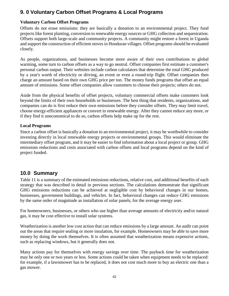# **9. 0 Voluntary Carbon Offset Programs & Local Programs**

#### **Voluntary Carbon Offset Programs**

Offsets do not erase emissions: they are basically a donation to an environmental project. They fund projects like forest planting, conversion to renewable energy sources or GHG collection and sequestration. Offsets support both large-scale and community projects. A community might restore a forest in [Uganda](http://science.howstuffworks.com/environmental/green-science/399692:0) and support the construction of efficient stoves i[n Honduran](http://science.howstuffworks.com/environmental/green-science/399509:0) villages. Offset programs should be evaluated closely.

As people, organizations, and businesses become more aware of their own contributions to global warming, some turn to carbon offsets as a way to go neutral. Offset companies first estimate a customer's personal carbon output. Their websites include carbon calculators that determine the total GHG produced by a year's worth of [electricity](http://science.howstuffworks.com/electricity.htm) or driving, an event or even a round-trip flight. Offset companies then charge an amount based on their own GHG price per ton. The money funds programs that offset an equal amount of emissions. Some offset companies allow customers to choose their projects; others do not.

Aside from the physical benefits of offset projects, voluntary commercial offsets make customers look beyond the limits of their own households or businesses. The best thing that residents, organizations, and companies can do is first reduce their own emissions before they consider offsets. They may limit travel, choose energy-efficient appliances or convert to renewable energy. After they cannot reduce any more, or if they find it uneconomical to do so, carbon offsets help make up for the rest.

#### **Local Programs**

Since a carbon offset is basically a donation to an environmental project, it may be worthwhile to consider investing directly in local renewable energy projects or environmental groups. This would eliminate the intermediary offset program, and it may be easier to find information about a local project or group. GHG emissions reductions and costs associated with carbon offsets and local programs depend on the kind of project funded.

## **10.0 Summary**

Table 11 is a summary of the estimated emissions reductions, relative cost, and additional benefits of each strategy that was described in detail in previous sections. The calculations demonstrate that significant GHG emissions reductions can be achieved at negligible cost by behavioral changes in our homes, businesses, government buildings, and vehicles. In fact, behavioral changes can reduce GHG emissions by the same order of magnitude as installation of solar panels, for the average energy user.

For homeowners, businesses, or others who use higher than average amounts of electricity and/or natural gas, it may be cost effective to install solar systems.

Weatherization is another low cost action that can reduce emissions by a large amount. An audit can point out the areas that require sealing or more insulation, for example. Homeowners may be able to save more money by doing the work themselves. It is often assumed that weatherization means expensive actions, such as replacing windows, but it generally does not.

Many actions pay for themselves with energy savings over time. The payback time for weatherization may be only one or two years or less. Some actions could be taken when equipment needs to be replaced: for example, if a lawnmower has to be replaced, it does not cost much more to buy an electric one than a gas mower.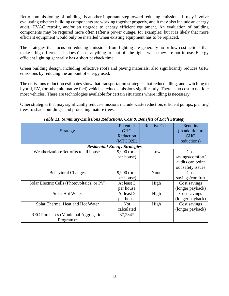Retro-commissioning of buildings is another important step toward reducing emissions. It may involve evaluating whether building components are working together properly, and it may also include an energy audit, HVAC retrofit, and/or an upgrade to energy efficient equipment. An evaluation of building components may be required more often (after a power outage, for example); but it is likely that more efficient equipment would only be installed when existing equipment has to be replaced.

The strategies that focus on reducing emissions from lighting are generally no or low cost actions that make a big difference. It doesn't cost anything to shut off the lights when they are not in use. Energy efficient lighting generally has a short payback time.

Green building design, including reflective roofs and paving materials, also significantly reduces GHG emissions by reducing the amount of energy used.

The emissions reduction estimates show that transportation strategies that reduce idling, and switching to hybrid, EV, (or other alternative fuel) vehicles reduce emissions significantly. There is no cost to not idle most vehicles. There are technologies available for certain situations where idling is necessary.

Other strategies that may significantly reduce emissions include waste reduction, efficient pumps, planting trees to shade buildings, and protecting mature trees.

| Potential      | <b>Relative Cost</b> | <b>Benefits</b>                      |  |
|----------------|----------------------|--------------------------------------|--|
| <b>GHG</b>     |                      | (in addition to                      |  |
| Reduction      |                      | <b>GHG</b>                           |  |
| (MTCO2E)       |                      | reductions)                          |  |
|                |                      |                                      |  |
| $9,990$ (or 2) | Low                  | Cost                                 |  |
| per house)     |                      | savings/comfort/                     |  |
|                |                      | audits can point                     |  |
|                |                      | out safety issues                    |  |
| 9,990 (or 2)   | None                 | Cost                                 |  |
| per house)     |                      | savings/comfort                      |  |
| At least 3     | High                 | Cost savings                         |  |
| per house      |                      | (longer payback)                     |  |
| At least 2     | High                 | Cost savings                         |  |
| per house      |                      | (longer payback)                     |  |
| <b>Not</b>     | High                 | Cost savings                         |  |
| calculated     |                      | (longer payback)                     |  |
| 37,234*        |                      |                                      |  |
|                |                      |                                      |  |
|                |                      | <b>Residential Energy Strategies</b> |  |

*Table 11. Summary-Emissions Reductions, Cost & Benefits of Each Strategy*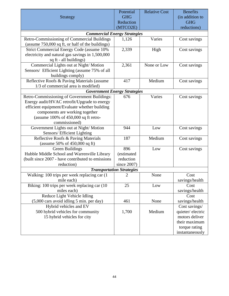|                                                                                     | Potential   | <b>Relative Cost</b> | <b>Benefits</b>                 |
|-------------------------------------------------------------------------------------|-------------|----------------------|---------------------------------|
| <b>Strategy</b>                                                                     | <b>GHG</b>  |                      | (in addition to                 |
|                                                                                     | Reduction   |                      | <b>GHG</b>                      |
|                                                                                     | (MTCO2E)    |                      | reductions)                     |
| <b>Commercial Energy Strategies</b>                                                 |             |                      |                                 |
| Retro-Commissioning of Commercial Buildings                                         | 1,126       | Varies               | Cost savings                    |
| (assume 750,000 sq ft, or half of the buildings)                                    |             |                      |                                 |
| Strict Commercial Energy Code (assume 10%                                           | 2,339       | High                 | Cost savings                    |
| electricity and natural gas savings in 1,500,000                                    |             |                      |                                 |
| sq ft - all buildings)                                                              |             |                      |                                 |
| Commercial Lights out at Night/Motion                                               | 2,361       | None or Low          | Cost savings                    |
| Sensors/ Efficient Lighting (assume 75% of all                                      |             |                      |                                 |
| buildings comply)                                                                   |             |                      |                                 |
| Reflective Roofs & Paving Materials (assume                                         | 417         | Medium               | Cost savings                    |
| 1/3 of commercial area is modified)                                                 |             |                      |                                 |
| <b>Government Energy Strategies</b><br>Retro-Commissioning of Government Buildings: | 676         | Varies               | Cost savings                    |
| Energy audit/HVAC retrofit/Upgrade to energy                                        |             |                      |                                 |
| efficient equipment/Evaluate whether building                                       |             |                      |                                 |
| components are working together                                                     |             |                      |                                 |
| (assume $100\%$ of $450,000$ sq ft retro-                                           |             |                      |                                 |
| commissioned)                                                                       |             |                      |                                 |
| Government Lights out at Night/Motion                                               | 944         | Low                  | Cost savings                    |
| Sensors/ Efficient Lighting                                                         |             |                      |                                 |
| Reflective Roofs & Paving Materials                                                 | 187         | Medium               | Cost savings                    |
| (assume 50% of $450,000$ sq ft)                                                     |             |                      |                                 |
| Green Buildings                                                                     | 896         | Low                  | Cost savings                    |
| Hubble Middle School and Warrenville Library                                        | (estimated  |                      |                                 |
| (built since 2007 - have contributed to emissions                                   | reduction   |                      |                                 |
| reduction)                                                                          | since 2007) |                      |                                 |
| <b>Transportation Strategies</b>                                                    |             |                      |                                 |
| Walking: 100 trips per week replacing car (1                                        | 2           | None                 | Cost                            |
| mile each)                                                                          |             |                      | savings/health                  |
| Biking: 100 trips per week replacing car (10                                        | 25          | Low                  | Cost                            |
| miles each)                                                                         |             |                      | savings/health                  |
| Reduce Light Vehicle Idling                                                         |             |                      | Cost                            |
| $(5,000 \text{ cars avoid idling } 5 \text{ min. per day})$                         | 461         | None                 | savings/health                  |
| Hybrid vehicles and EV                                                              |             |                      | Cost savings/                   |
| 500 hybrid vehicles for community                                                   | 1,700       | Medium               | quieter/electric                |
| 15 hybrid vehicles for city                                                         |             |                      | motors deliver<br>their maximum |
|                                                                                     |             |                      | torque rating                   |
|                                                                                     |             |                      | instantaneously                 |
|                                                                                     |             |                      |                                 |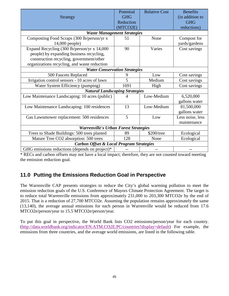| Strategy                                                                                                                                                                            | Potential<br><b>GHG</b><br>Reduction<br>(MTCO2E) | <b>Relative Cost</b> | <b>Benefits</b><br>(in addition to<br><b>GHG</b><br>reductions) |
|-------------------------------------------------------------------------------------------------------------------------------------------------------------------------------------|--------------------------------------------------|----------------------|-----------------------------------------------------------------|
| <b>Waste Management Strategies</b>                                                                                                                                                  |                                                  |                      |                                                                 |
| Composting Food Scraps (300 lb/person/yr x<br>14,000 people)                                                                                                                        | 51                                               | None                 | Compost for<br>yards/gardens                                    |
| Expand Recycling (300 lb/person/yr x 14,000<br>people) by expanding business recycling,<br>construction recycling, government/other<br>organizations recycling, and waste reduction | 90                                               | Varies               | Cost savings                                                    |
| <b>Water Conservation Strategies</b>                                                                                                                                                |                                                  |                      |                                                                 |
| 500 Faucets Replaced                                                                                                                                                                | 9                                                | Low                  | Cost savings                                                    |
| Irrigation control sensors - 10 acres of lawn                                                                                                                                       | 5                                                | Medium               | Cost savings                                                    |
| Water System Efficiency (pumping)                                                                                                                                                   | 1691                                             | High                 | Cost savings                                                    |
| <b>Natural Landscaping Strategies</b>                                                                                                                                               |                                                  |                      |                                                                 |
| Low Maintenance Landscaping: 10 acres (public)                                                                                                                                      | $\overline{4}$                                   | Low-Medium           | 6,520,000<br>gallons water                                      |
| Low Maintenance Landscaping: 100 residences                                                                                                                                         | 13                                               | Low-Medium           | 81,500,000<br>gallons water                                     |
| Gas Lawnmower replacement: 500 residences                                                                                                                                           | 5                                                | Low                  | Less noise, less<br>maintenance                                 |
| <b>Warrenville's Urban Forest Strategies</b>                                                                                                                                        |                                                  |                      |                                                                 |
| Trees to Shade Buildings: 500 trees planted                                                                                                                                         | 89                                               | \$200/tree           | Ecological                                                      |
| Mature Tree CO2 absorption: 500 trees                                                                                                                                               | 128                                              | None                 | Ecological                                                      |
| <b>Carbon Offset &amp; Local Program Strategies</b>                                                                                                                                 |                                                  |                      |                                                                 |
| GHG emissions reductions (depends on project)*                                                                                                                                      |                                                  |                      |                                                                 |

\* RECs and carbon offsets may not have a local impact; therefore, they are not counted toward meeting the emission reduction goal.

# **11.0 Putting the Emissions Reduction Goal in Perspective**

The Warrenville CAP presents strategies to reduce the City's global warming pollution to meet the emission reduction goals of the U.S. Conference of Mayors Climate Protection Agreement. The target is to reduce total Warrenville emissions from approximately 231,000 to 203,300 MTCO2e by the end of 2015. That is a reduction of 27,700 MTCO2e. Assuming the population remains approximately the same (13,140), the average annual emissions for each person in Warrenville would be reduced from 17.6 MTCO2e/person/year to 15.5 MTCO2e/person/year.

To put this goal in perspective, the World Bank lists CO2 emissions/person/year for each country. [\(http://data.worldbank.org/indicator/EN.ATM.CO2E.PC/countries?display=default\)](http://data.worldbank.org/indicator/EN.ATM.CO2E.PC/countries?display=default) For example, the emissions from three countries, and the average world emissions, are listed in the following table.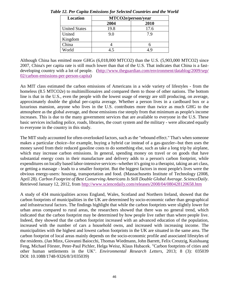| <b>Location</b>      | MTCO2e/person/year |      |  |
|----------------------|--------------------|------|--|
|                      | 2004               | 2010 |  |
| <b>United States</b> | 19.8               | 17.6 |  |
| United               | 9.0                | 7.9  |  |
| Kingdom              |                    |      |  |
| China                |                    |      |  |
| World                |                    |      |  |

*Table 12. Per Capita Emissions for Selected Countries and the World*

Although China has emitted more GHGs (6,018,000 MTCO2) than the U.S. (5,903,000 MTCO2) since 2007, China's per capita rate is still much lower than that of the U.S. That indicates that China is a fast-developing country with a lot of people. [\(http://www.theguardian.com/environment/datablog/2009/sep/](http://www.theguardian.com/environment/datablog/2009/sep/02/carbon-emissions-per-person-capita) [02/carbon-emissions-per-person-capita\)](http://www.theguardian.com/environment/datablog/2009/sep/02/carbon-emissions-per-person-capita)

An MIT class estimated the carbon emissions of Americans in a wide variety of lifestyles - from the homeless (8.5 MTCO2e) to multimillionaires and compared them to those of other nations. The bottom line is that in the U.S., even the people with the lowest usage of energy are still producing, on average, approximately double the global per-capita average. Whether a person lives in a cardboard box or a luxurious mansion, anyone who lives in the U.S. contributes more than twice as much GHG to the atmosphere as the global average, and those emissions rise steeply from that minimum as people's income increases. This is due to the many government services that are available to everyone in the U.S. These basic services including police, roads, libraries, the court system and the military - were allocated equally to everyone in the country in this study.

The MIT study accounted for often-overlooked factors, such as the "rebound effect." That's when someone makes a particular choice--for example, buying a hybrid car instead of a gas-guzzler--but then uses the money saved from their reduced gasoline costs to do something else, such as take a long trip by airplane, which may increase carbon emissions. In general, spending money on travel or on goods that have substantial energy costs in their manufacture and delivery adds to a person's carbon footprint, while expenditures on locally based labor-intensive services--whether it's going to a therapist, taking an art class, or getting a massage - leads to a smaller footprint. But the biggest factors in most people's lives were the obvious energy-users: housing, transportation and food. (Massachusetts Institute of Technology (2008, April 28). *Carbon Footprint of Best Conserving Americans Is Still Double Global Average*. *ScienceDaily*. Retrieved January 12, 2012, from <http://www.sciencedaily.com/releases/2008/04/080428120658.htm>

A study of 434 municipalities across England, Wales, Scotland and Northern Ireland, showed that the carbon footprints of municipalities in the UK are determined by socio-economic rather than geographical and infrastructural factors. The findings highlight that while the carbon footprints were slightly lower for urban areas compared to rural areas, the researchers showed that there was no general trend, which indicated that the carbon footprint may be determined by how people live rather than where people live. Indeed, they showed that the carbon footprint increased with an advanced education of the population, increased with the number of cars a household owns, and increased with increasing income. The municipalities with the highest and lowest carbon footprints in the UK are situated in the same area. The carbon footprint of local areas mainly depends on the socio-economic profile and associated lifestyles of the residents. (Jan Minx, Giovanni Baiocchi, Thomas Wiedmann, John Barrett, Felix Creutzig, Kuishuang Feng, Michael Förster, Peter-Paul Pichler, Helga Weisz, Klaus Hubacek. "Carbon footprints of cities and other human settlements in the UK". *Environmental Research Letters*, 2013; 8 (3): 035039 DOI: [10.1088/1748-9326/8/3/035039\)](http://dx.doi.org/10.1088/1748-9326/8/3/035039)